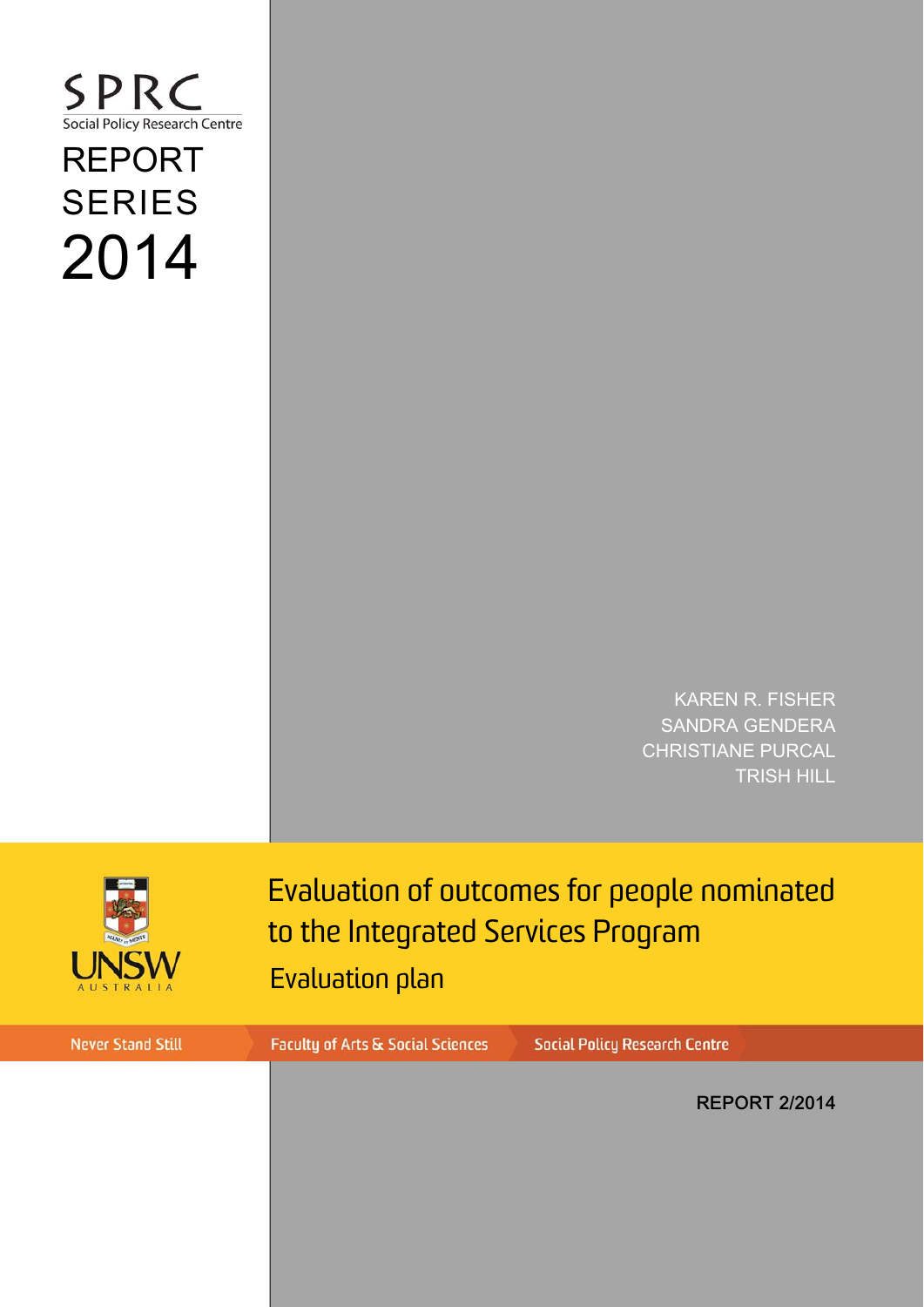### SPRC Social Policy Research Centre

# REPORT SERIES 2014

KAREN R. FISHER SANDRA GENDERA CHRISTIANE PURCAL TRISH HILL



Evaluation of outcomes for people nominated to the Integrated Services Program Evaluation plan

**Never Stand Still Faculty of Arts & Social Sciences Social Policy Research Centre** REPORT 2/2014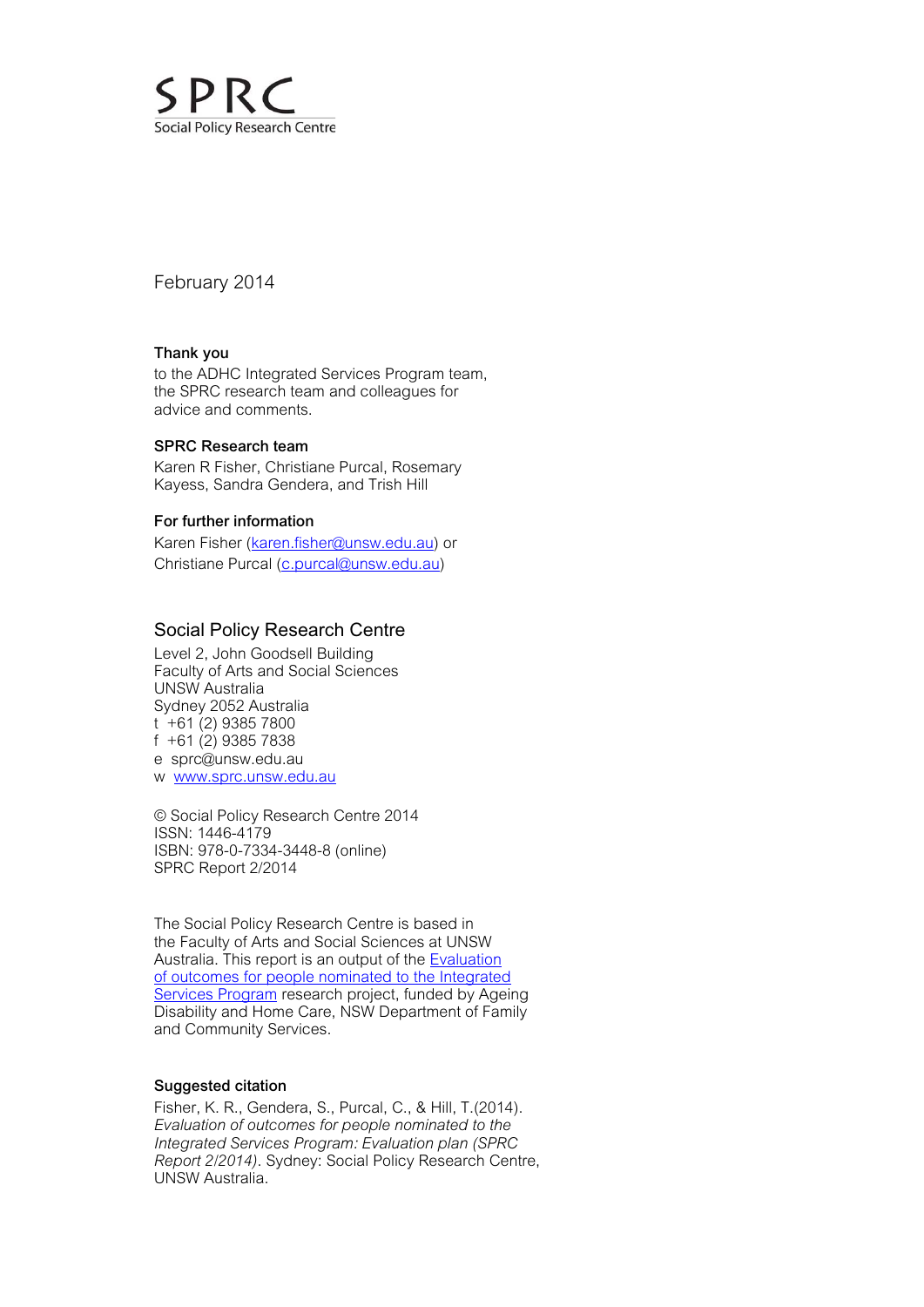

February 2014

#### Thank you

to the ADHC Integrated Services Program team, the SPRC research team and colleagues for advice and comments.

#### SPRC Research team

Karen R Fisher, Christiane Purcal, Rosemary Kayess, Sandra Gendera, and Trish Hill

#### For further information

Karen Fisher [\(karen.fisher@unsw.edu.au\) or](mailto:karen.fisher@unsw.edu.au) Christiane Purcal (c.purcal@unsw.edu.au)

#### Social Policy Research Centre

Level 2, John Goodsell Building Faculty of Arts and Social Sciences UNSW Australia Sydney 2052 Australia  $t + 61$  (2) 9385 7800 f +61 (2) 9385 7838 e [sprc@unsw.edu.au](mailto:sprc@unsw.edu.au)  w [www.sprc.unsw.edu.au](http://www.sprc.unsw.edu.au)

© Social Policy Research Centre 2014 ISSN: 1446-4179 ISBN: 978-0-7334-3448-8 (online) SPRC Report 2/2014

The Social Policy Research Centre is based in the Faculty of Arts and Social Sciences at UNSW Australia. This report is an output of the **Evaluation** of outcomes for people nominated to the Integrated Services Program research project, funded by Ageing Disability and Home Care, NSW Department of Family and Community Services.

#### Suggested citation

Fisher, K. R., Gendera, S., Purcal, C., & Hill, T.(2014). *Evaluation of outcomes for people nominated to the Integrated Services Program: Evaluation plan (SPRC Report 2/2014)*. Sydney: Social Policy Research Centre, UNSW Australia.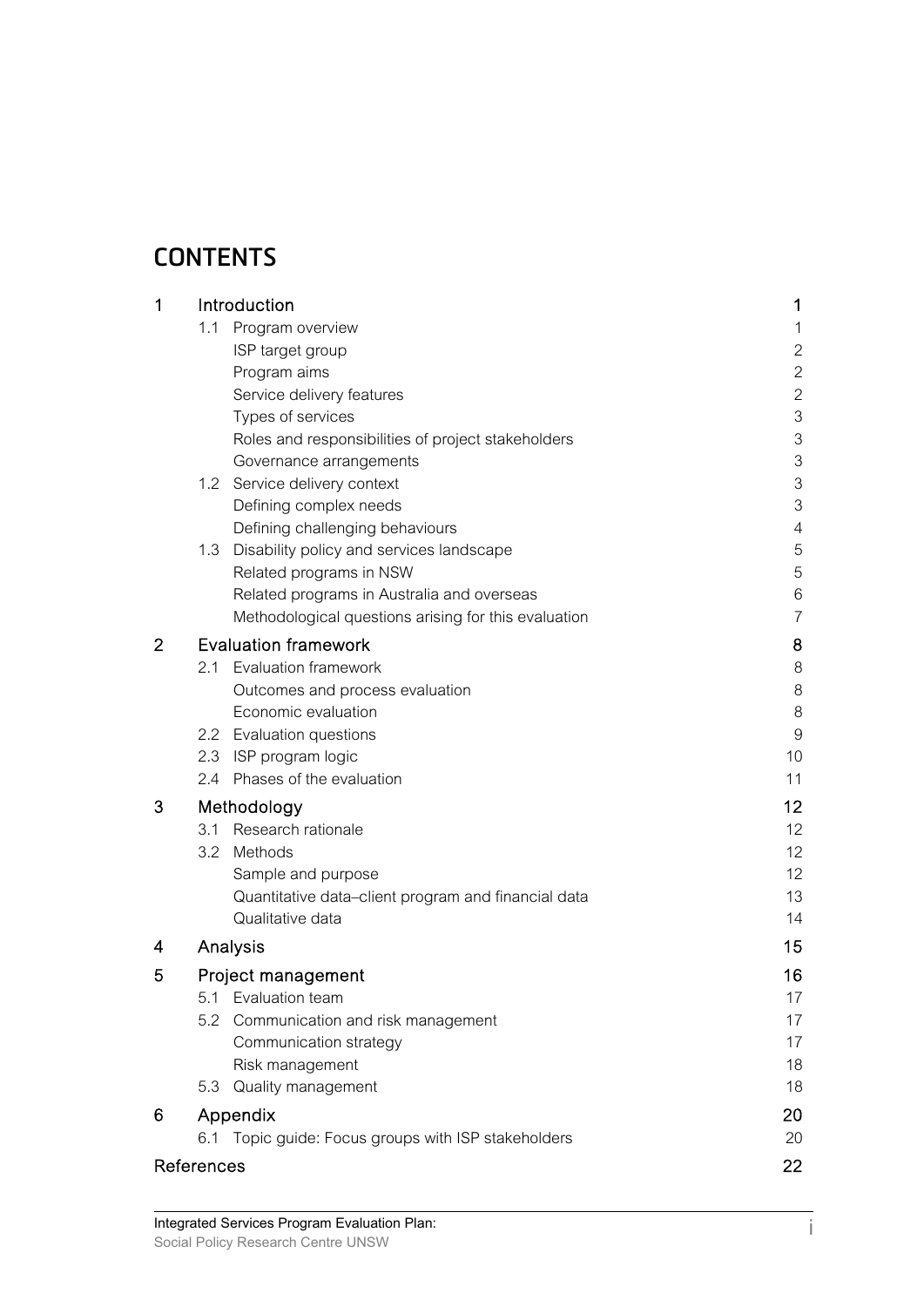## **CONTENTS**

| 1              | Introduction                                         | 1              |  |  |  |  |  |
|----------------|------------------------------------------------------|----------------|--|--|--|--|--|
|                | 1.1 Program overview                                 | 1              |  |  |  |  |  |
|                | ISP target group                                     | $\mathbf{2}$   |  |  |  |  |  |
|                | Program aims                                         | $\overline{2}$ |  |  |  |  |  |
|                | Service delivery features                            | $\overline{2}$ |  |  |  |  |  |
|                | Types of services                                    | 3              |  |  |  |  |  |
|                | Roles and responsibilities of project stakeholders   | 3              |  |  |  |  |  |
|                | Governance arrangements                              | 3              |  |  |  |  |  |
|                | 1.2 Service delivery context                         | 3              |  |  |  |  |  |
|                | Defining complex needs                               | 3              |  |  |  |  |  |
|                | Defining challenging behaviours                      | $\overline{4}$ |  |  |  |  |  |
|                | 1.3 Disability policy and services landscape         | 5              |  |  |  |  |  |
|                | Related programs in NSW                              | 5              |  |  |  |  |  |
|                | Related programs in Australia and overseas           | 6              |  |  |  |  |  |
|                | Methodological questions arising for this evaluation | $\overline{7}$ |  |  |  |  |  |
| $\overline{2}$ | <b>Evaluation framework</b>                          | 8              |  |  |  |  |  |
|                | <b>Evaluation framework</b><br>2.1                   | 8              |  |  |  |  |  |
|                | Outcomes and process evaluation                      | 8              |  |  |  |  |  |
|                | Economic evaluation                                  | 8              |  |  |  |  |  |
|                | 2.2 Evaluation questions                             | $\overline{9}$ |  |  |  |  |  |
|                | 2.3 ISP program logic                                | 10             |  |  |  |  |  |
|                | 2.4 Phases of the evaluation                         | 11             |  |  |  |  |  |
| 3              | Methodology                                          | 12             |  |  |  |  |  |
|                | Research rationale<br>3.1                            | 12             |  |  |  |  |  |
|                | 3.2 Methods                                          | 12             |  |  |  |  |  |
|                | Sample and purpose                                   | 12             |  |  |  |  |  |
|                | Quantitative data-client program and financial data  | 13             |  |  |  |  |  |
|                | Qualitative data                                     | 14             |  |  |  |  |  |
| 4              | Analysis                                             | 15             |  |  |  |  |  |
| 5              | Project management                                   |                |  |  |  |  |  |
|                | 5.1 Evaluation team                                  | 16<br>17       |  |  |  |  |  |
|                | 5.2<br>Communication and risk management             | 17             |  |  |  |  |  |
|                | Communication strategy                               | 17             |  |  |  |  |  |
|                | Risk management                                      | 18             |  |  |  |  |  |
|                | Quality management<br>5.3                            | 18             |  |  |  |  |  |
| 6              | Appendix                                             | 20             |  |  |  |  |  |
|                | 6.1 Topic guide: Focus groups with ISP stakeholders  | 20             |  |  |  |  |  |
|                | References                                           | 22             |  |  |  |  |  |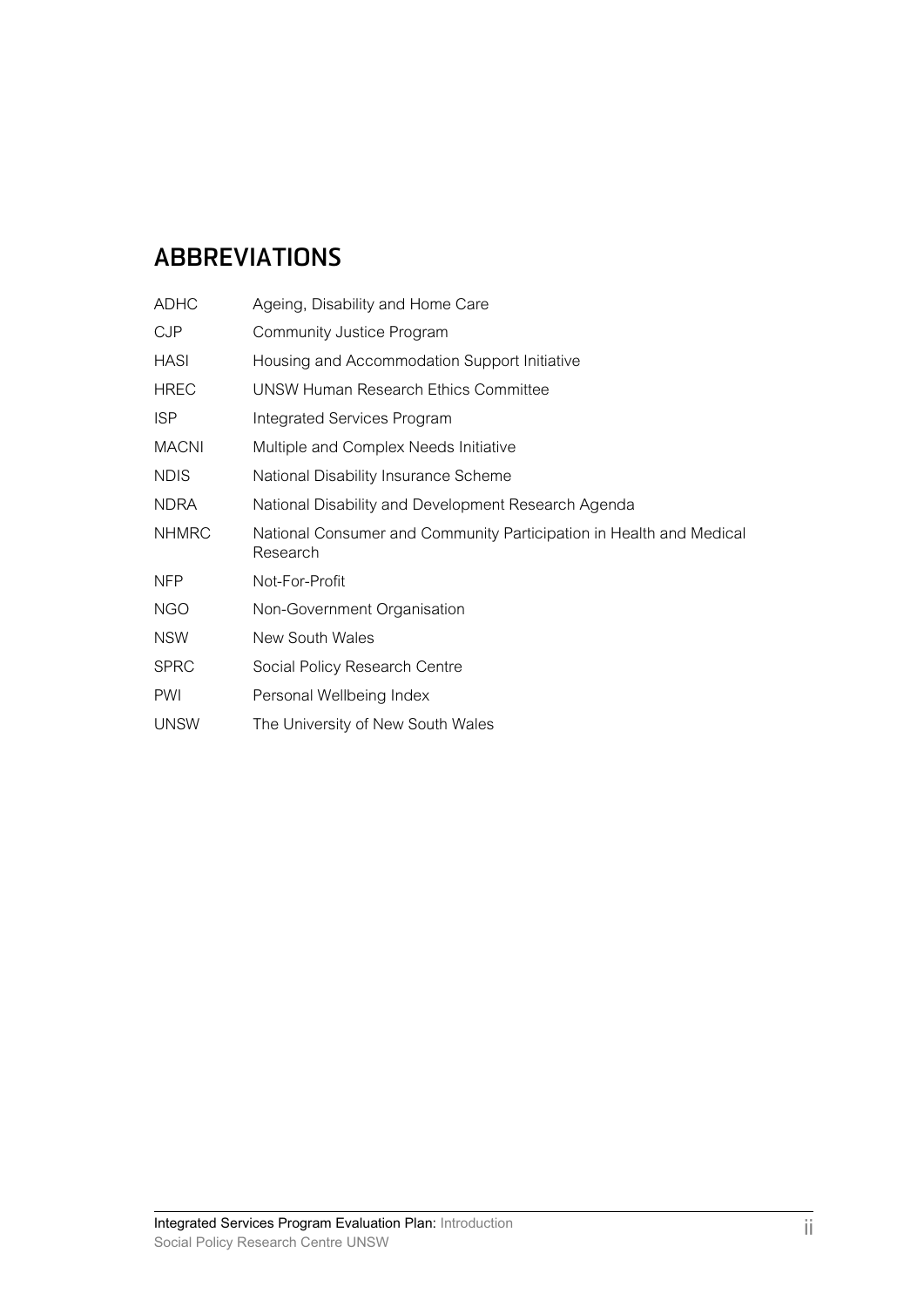### **ABBREVIATIONS**

| <b>ADHC</b>  | Ageing, Disability and Home Care                                                |
|--------------|---------------------------------------------------------------------------------|
| <b>CJP</b>   | <b>Community Justice Program</b>                                                |
| HASI         | Housing and Accommodation Support Initiative                                    |
| <b>HREC</b>  | UNSW Human Research Ethics Committee                                            |
| <b>ISP</b>   | Integrated Services Program                                                     |
| <b>MACNI</b> | Multiple and Complex Needs Initiative                                           |
| <b>NDIS</b>  | National Disability Insurance Scheme                                            |
| <b>NDRA</b>  | National Disability and Development Research Agenda                             |
| <b>NHMRC</b> | National Consumer and Community Participation in Health and Medical<br>Research |
| <b>NFP</b>   | Not-For-Profit                                                                  |
| <b>NGO</b>   | Non-Government Organisation                                                     |
| <b>NSW</b>   | New South Wales                                                                 |
| <b>SPRC</b>  | Social Policy Research Centre                                                   |
| <b>PWI</b>   | Personal Wellbeing Index                                                        |
| <b>UNSW</b>  | The University of New South Wales                                               |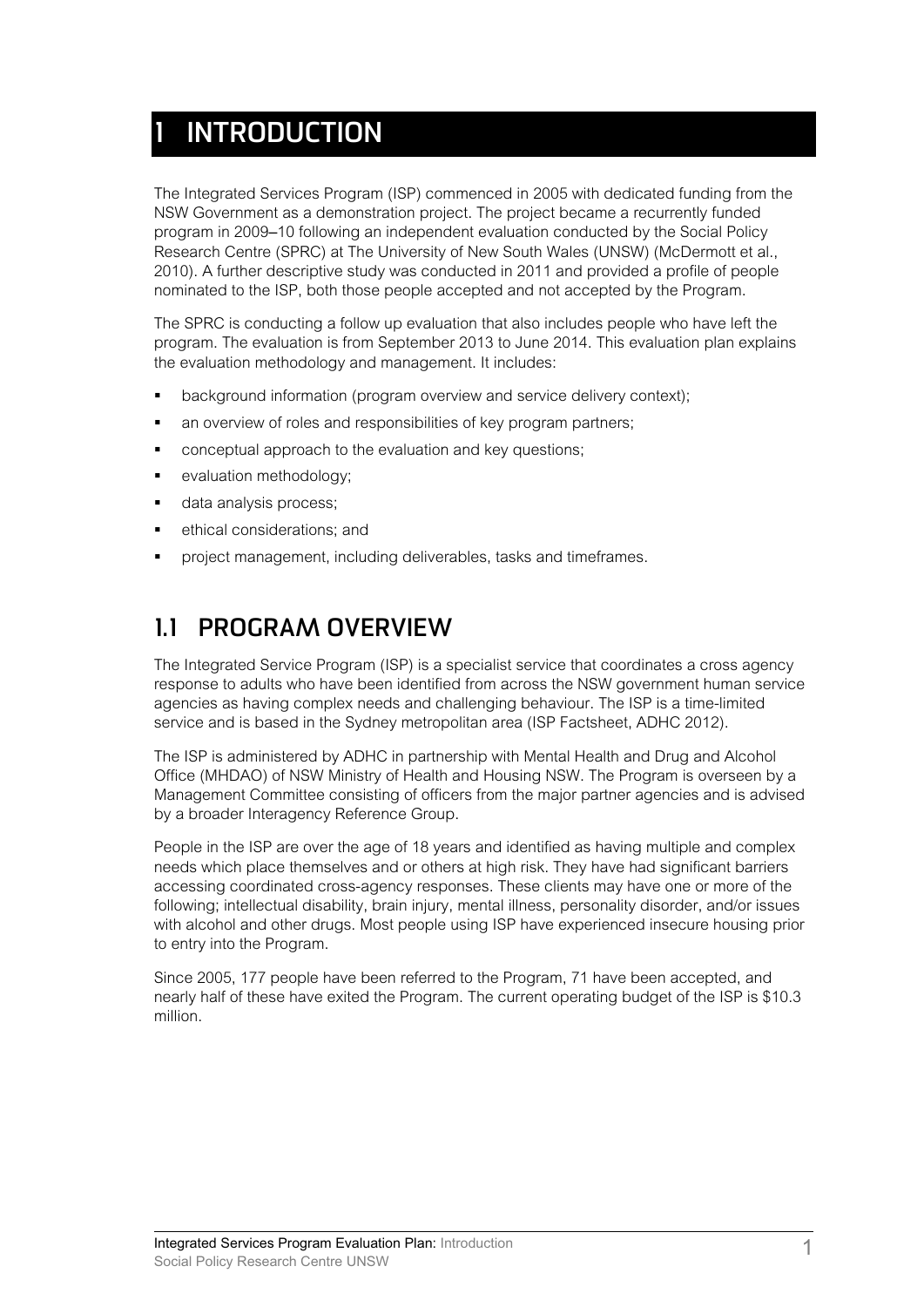# **1 INTRODUCTION**

The Integrated Services Program (ISP) commenced in 2005 with dedicated funding from the NSW Government as a demonstration project. The project became a recurrently funded program in 2009‒10 following an independent evaluation conducted by the Social Policy Research Centre (SPRC) at The University of New South Wales (UNSW) (McDermott et al., 2010). A further descriptive study was conducted in 2011 and provided a profile of people nominated to the ISP, both those people accepted and not accepted by the Program.

The SPRC is conducting a follow up evaluation that also includes people who have left the program. The evaluation is from September 2013 to June 2014. This evaluation plan explains the evaluation methodology and management. It includes:

- background information (program overview and service delivery context);
- an overview of roles and responsibilities of key program partners;
- conceptual approach to the evaluation and key questions;
- evaluation methodology;
- data analysis process;
- ethical considerations; and
- project management, including deliverables, tasks and timeframes.

### **1.1 PROGRAM OVERVIEW**

The Integrated Service Program (ISP) is a specialist service that coordinates a cross agency response to adults who have been identified from across the NSW government human service agencies as having complex needs and challenging behaviour. The ISP is a time-limited service and is based in the Sydney metropolitan area (ISP Factsheet, ADHC 2012).

The ISP is administered by ADHC in partnership with Mental Health and Drug and Alcohol Office (MHDAO) of NSW Ministry of Health and Housing NSW. The Program is overseen by a Management Committee consisting of officers from the major partner agencies and is advised by a broader Interagency Reference Group.

People in the ISP are over the age of 18 years and identified as having multiple and complex needs which place themselves and or others at high risk. They have had significant barriers accessing coordinated cross-agency responses. These clients may have one or more of the following; intellectual disability, brain injury, mental illness, personality disorder, and/or issues with alcohol and other drugs. Most people using ISP have experienced insecure housing prior to entry into the Program.

Since 2005, 177 people have been referred to the Program, 71 have been accepted, and nearly half of these have exited the Program. The current operating budget of the ISP is \$10.3 million.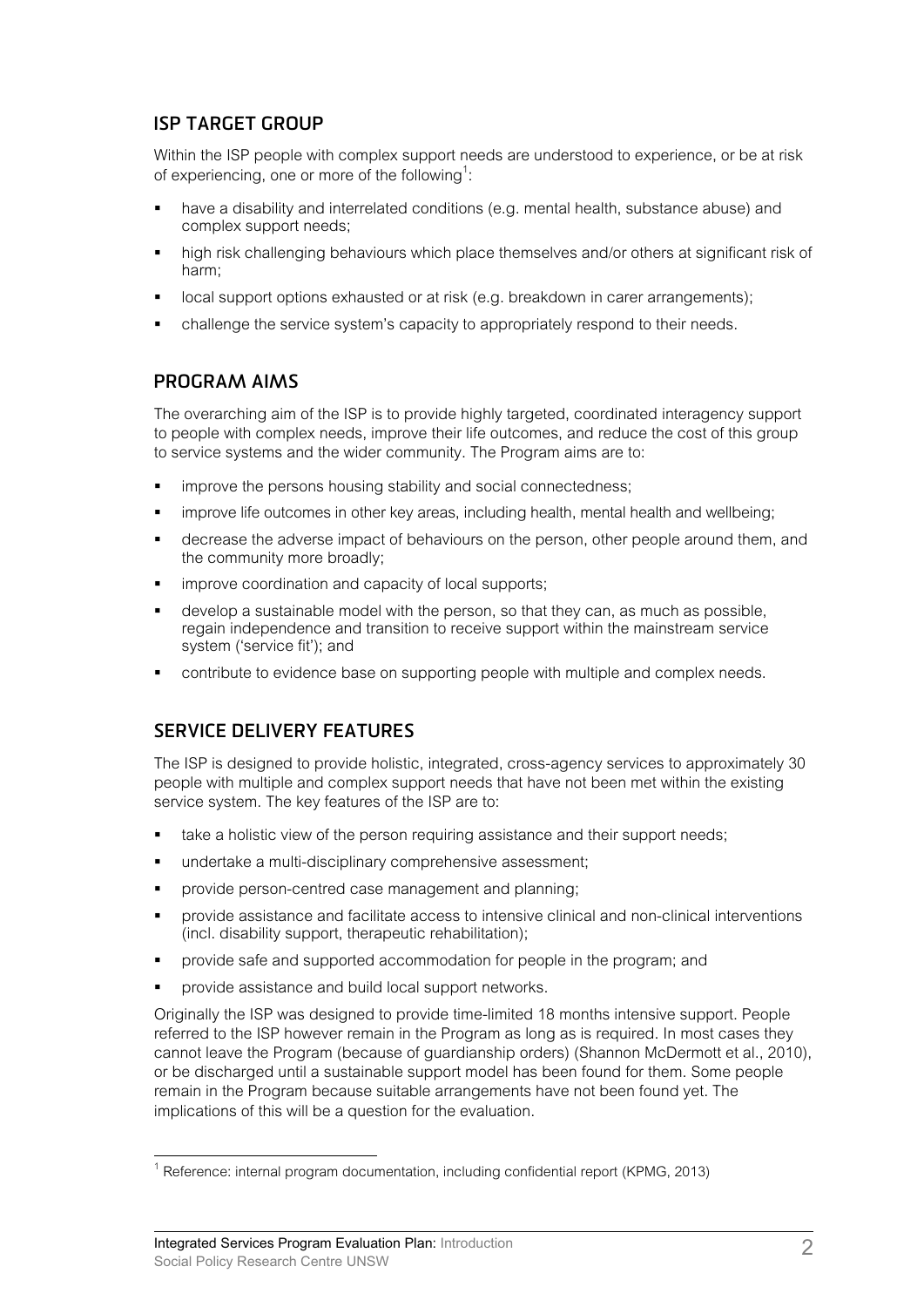#### **ISP TARGET GROUP**

Within the ISP people with complex support needs are understood to experience, or be at risk of experiencing, one or more of the following<sup>1</sup>:

- have a disability and interrelated conditions (e.g. mental health, substance abuse) and complex support needs;
- high risk challenging behaviours which place themselves and/or others at significant risk of harm;
- local support options exhausted or at risk (e.g. breakdown in carer arrangements);
- challenge the service system's capacity to appropriately respond to their needs.

#### **PROGRAM AIMS**

The overarching aim of the ISP is to provide highly targeted, coordinated interagency support to people with complex needs, improve their life outcomes, and reduce the cost of this group to service systems and the wider community. The Program aims are to:

- improve the persons housing stability and social connectedness;
- improve life outcomes in other key areas, including health, mental health and wellbeing;
- decrease the adverse impact of behaviours on the person, other people around them, and the community more broadly;
- improve coordination and capacity of local supports;
- develop a sustainable model with the person, so that they can, as much as possible, regain independence and transition to receive support within the mainstream service system ('service fit'); and
- contribute to evidence base on supporting people with multiple and complex needs.

### **SERVICE DELIVERY FEATURES**

The ISP is designed to provide holistic, integrated, cross-agency services to approximately 30 people with multiple and complex support needs that have not been met within the existing service system. The key features of the ISP are to:

- take a holistic view of the person requiring assistance and their support needs;
- undertake a multi-disciplinary comprehensive assessment;
- provide person-centred case management and planning;
- provide assistance and facilitate access to intensive clinical and non-clinical interventions (incl. disability support, therapeutic rehabilitation);
- provide safe and supported accommodation for people in the program; and
- provide assistance and build local support networks.

Originally the ISP was designed to provide time-limited 18 months intensive support. People referred to the ISP however remain in the Program as long as is required. In most cases they cannot leave the Program (because of guardianship orders) (Shannon McDermott et al., 2010), or be discharged until a sustainable support model has been found for them. Some people remain in the Program because suitable arrangements have not been found yet. The implications of this will be a question for the evaluation.

<sup>1&</sup>lt;br><sup>1</sup> Reference: internal program documentation, including confidential report (KPMG, 2013)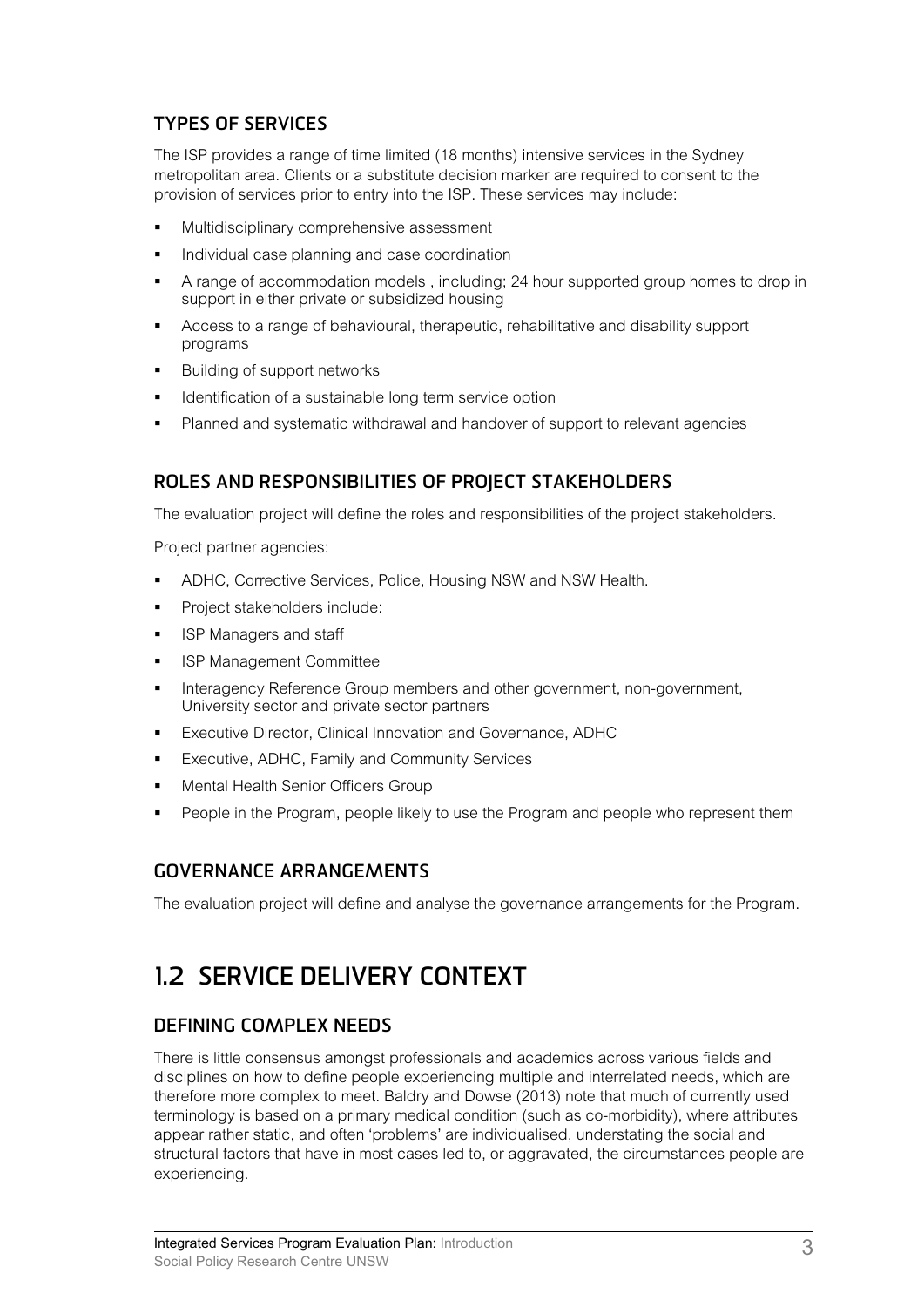### **TYPES OF SERVICES**

The ISP provides a range of time limited (18 months) intensive services in the Sydney metropolitan area. Clients or a substitute decision marker are required to consent to the provision of services prior to entry into the ISP. These services may include:

- Multidisciplinary comprehensive assessment
- Individual case planning and case coordination
- A range of accommodation models , including; 24 hour supported group homes to drop in support in either private or subsidized housing
- Access to a range of behavioural, therapeutic, rehabilitative and disability support programs
- Building of support networks
- Identification of a sustainable long term service option
- Planned and systematic withdrawal and handover of support to relevant agencies

#### **ROLES AND RESPONSIBILITIES OF PROJECT STAKEHOLDERS**

The evaluation project will define the roles and responsibilities of the project stakeholders.

Project partner agencies:

- ADHC, Corrective Services, Police, Housing NSW and NSW Health.
- Project stakeholders include:
- ISP Managers and staff
- ISP Management Committee
- Interagency Reference Group members and other government, non-government, University sector and private sector partners
- Executive Director, Clinical Innovation and Governance, ADHC
- Executive, ADHC, Family and Community Services
- Mental Health Senior Officers Group
- People in the Program, people likely to use the Program and people who represent them

### **GOVERNANCE ARRANGEMENTS**

The evaluation project will define and analyse the governance arrangements for the Program.

### **1.2 SERVICE DELIVERY CONTEXT**

#### **DEFINING COMPLEX NEEDS**

There is little consensus amongst professionals and academics across various fields and disciplines on how to define people experiencing multiple and interrelated needs, which are therefore more complex to meet. Baldry and Dowse (2013) note that much of currently used terminology is based on a primary medical condition (such as co-morbidity), where attributes appear rather static, and often 'problems' are individualised, understating the social and structural factors that have in most cases led to, or aggravated, the circumstances people are experiencing.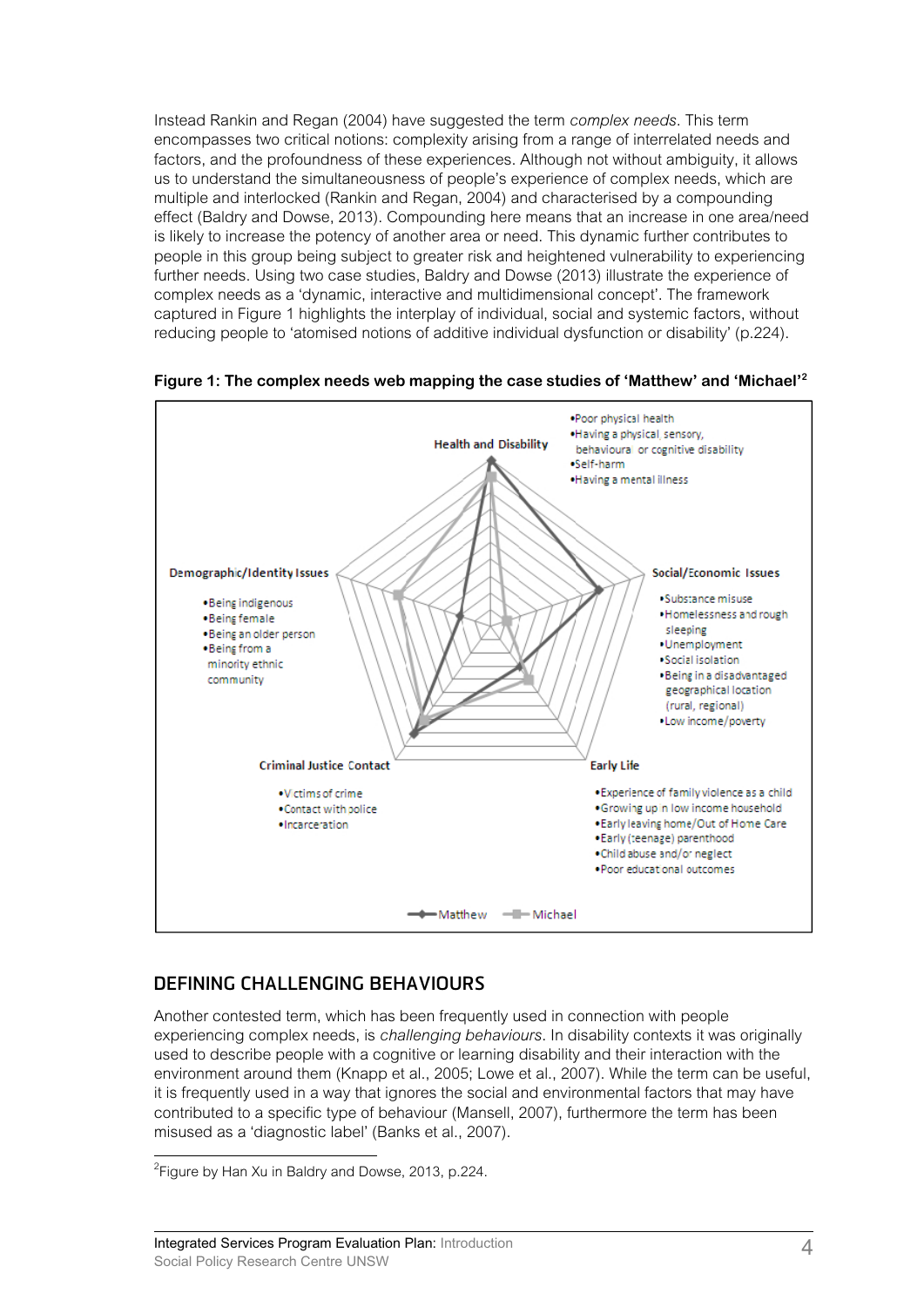Instead Rankin and Regan (2004) have suggested the term *complex needs*. This term encompasses two critical notions: complexity arising from a range of interrelated needs and factors, and the profoundness of these experiences. Although not without ambiguity, it allows us to understand the simultaneousness of people's experience of complex needs, which are multiple and interlocked (Rankin and Regan, 2004) and characterised by a compounding effect (Baldry and Dowse, 2013). Compounding here means that an increase in one area/need is likely to increase the potency of another area or need. This dynamic further contributes to people in this group being subject to greater risk and heightened vulnerability to experiencing further needs. Using two case studies, Baldry and Dowse (2013) illustrate the experience of complex needs as a 'dynamic, interactive and multidimensional concept'. The framework captured in Figure 1 highlights the interplay of individual, social and systemic factors, without reducing people to 'atomised notions of additive individual dysfunction or disability' (p.224).





#### **DEFINING CHALLENGING BEHAVIOURS**

Another contested term, which has been frequently used in connection with people experiencing complex needs, is *challenging behaviours*. In disability contexts it was originally used to describe people with a cognitive or learning disability and their interaction with the environment around them (Knapp et al., 2005; Lowe et al., 2007). While the term can be useful, it is frequently used in a way that ignores the social and environmental factors that may have contributed to a specific type of behaviour (Mansell, 2007), furthermore the term has been misused as a 'diagnostic label' (Banks et al., 2007).

 $\overline{a}$ <sup>2</sup> Figure by Han Xu in Baldry and Dowse, 2013, p.224.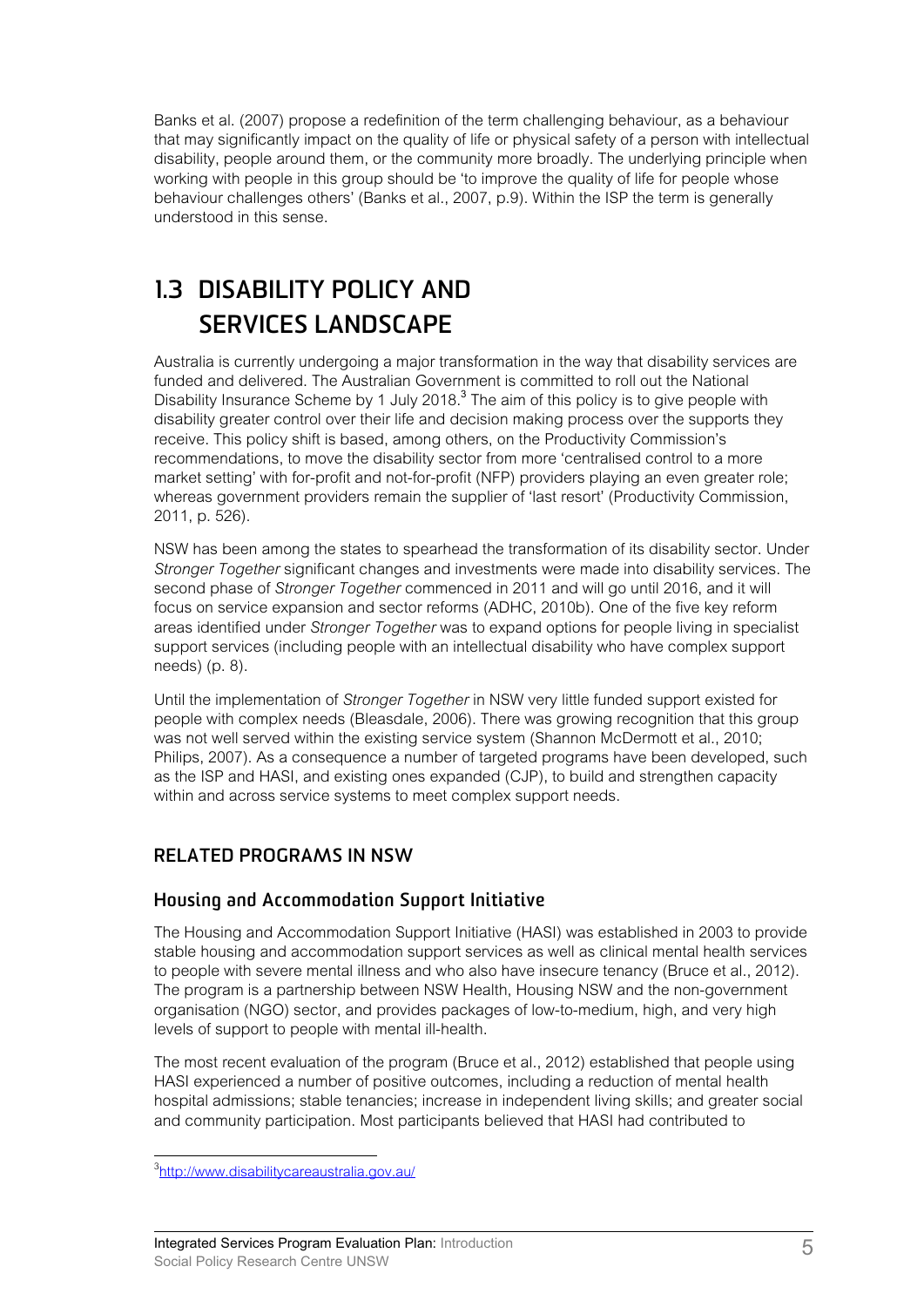Banks et al. (2007) propose a redefinition of the term challenging behaviour, as a behaviour that may significantly impact on the quality of life or physical safety of a person with intellectual disability, people around them, or the community more broadly. The underlying principle when working with people in this group should be 'to improve the quality of life for people whose behaviour challenges others' (Banks et al., 2007, p.9). Within the ISP the term is generally understood in this sense.

## **1.3 DISABILITY POLICY AND SERVICES LANDSCAPE**

Australia is currently undergoing a major transformation in the way that disability services are funded and delivered. The Australian Government is committed to roll out the National Disability Insurance Scheme by 1 July 2018.<sup>3</sup> The aim of this policy is to give people with disability greater control over their life and decision making process over the supports they receive. This policy shift is based, among others, on the Productivity Commission's recommendations, to move the disability sector from more 'centralised control to a more market setting' with for-profit and not-for-profit (NFP) providers playing an even greater role; whereas government providers remain the supplier of 'last resort' (Productivity Commission, 2011, p. 526).

NSW has been among the states to spearhead the transformation of its disability sector. Under *Stronger Together* significant changes and investments were made into disability services. The second phase of *Stronger Together* commenced in 2011 and will go until 2016, and it will focus on service expansion and sector reforms (ADHC, 2010b). One of the five key reform areas identified under *Stronger Together* was to expand options for people living in specialist support services (including people with an intellectual disability who have complex support needs) (p. 8).

Until the implementation of *Stronger Together* in NSW very little funded support existed for people with complex needs (Bleasdale, 2006). There was growing recognition that this group was not well served within the existing service system (Shannon McDermott et al., 2010; Philips, 2007). As a consequence a number of targeted programs have been developed, such as the ISP and HASI, and existing ones expanded (CJP), to build and strengthen capacity within and across service systems to meet complex support needs.

### **RELATED PROGRAMS IN NSW**

#### **Housing and Accommodation Support Initiative**

The Housing and Accommodation Support Initiative (HASI) was established in 2003 to provide stable housing and accommodation support services as well as clinical mental health services to people with severe mental illness and who also have insecure tenancy (Bruce et al., 2012). The program is a partnership between NSW Health, Housing NSW and the non-government organisation (NGO) sector, and provides packages of low-to-medium, high, and very high levels of support to people with mental ill-health.

The most recent evaluation of the program (Bruce et al., 2012) established that people using HASI experienced a number of positive outcomes, including a reduction of mental health hospital admissions; stable tenancies; increase in independent living skills; and greater social and community participation. Most participants believed that HASI had contributed to

<sup>3&</sup>lt;br>3<http://www.disabilitycareaustralia.gov.au/>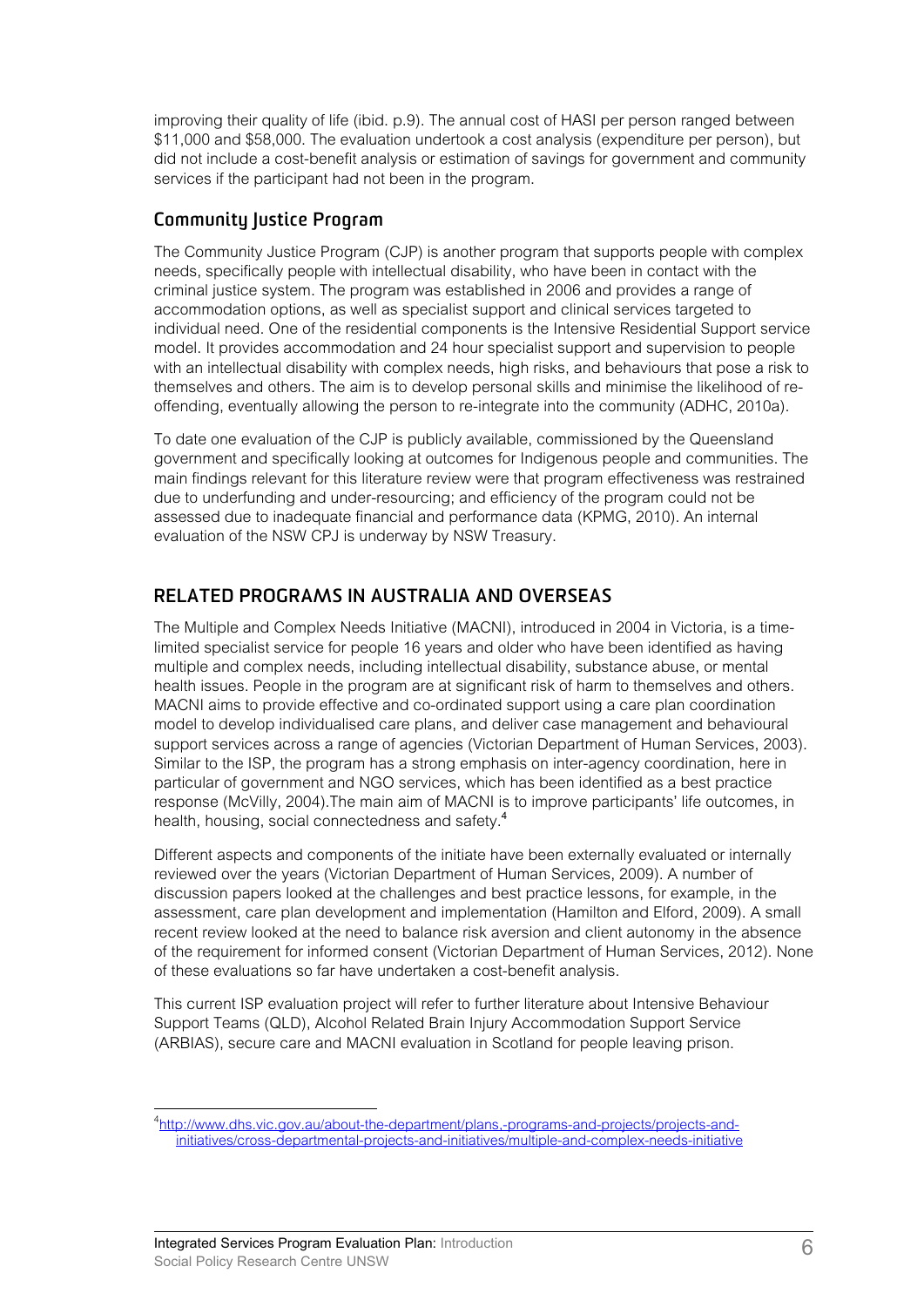improving their quality of life (ibid. p.9). The annual cost of HASI per person ranged between \$11,000 and \$58,000. The evaluation undertook a cost analysis (expenditure per person), but did not include a cost-benefit analysis or estimation of savings for government and community services if the participant had not been in the program.

#### **Community Justice Program**

The Community Justice Program (CJP) is another program that supports people with complex needs, specifically people with intellectual disability, who have been in contact with the criminal justice system. The program was established in 2006 and provides a range of accommodation options, as well as specialist support and clinical services targeted to individual need. One of the residential components is the Intensive Residential Support service model. It provides accommodation and 24 hour specialist support and supervision to people with an intellectual disability with complex needs, high risks, and behaviours that pose a risk to themselves and others. The aim is to develop personal skills and minimise the likelihood of reoffending, eventually allowing the person to re-integrate into the community (ADHC, 2010a).

To date one evaluation of the CJP is publicly available, commissioned by the Queensland government and specifically looking at outcomes for Indigenous people and communities. The main findings relevant for this literature review were that program effectiveness was restrained due to underfunding and under-resourcing; and efficiency of the program could not be assessed due to inadequate financial and performance data (KPMG, 2010). An internal evaluation of the NSW CPJ is underway by NSW Treasury.

### **RELATED PROGRAMS IN AUSTRALIA AND OVERSEAS**

The Multiple and Complex Needs Initiative (MACNI), introduced in 2004 in Victoria, is a timelimited specialist service for people 16 years and older who have been identified as having multiple and complex needs, including intellectual disability, substance abuse, or mental health issues. People in the program are at significant risk of harm to themselves and others. MACNI aims to provide effective and co-ordinated support using a care plan coordination model to develop individualised care plans, and deliver case management and behavioural support services across a range of agencies (Victorian Department of Human Services, 2003). Similar to the ISP, the program has a strong emphasis on inter-agency coordination, here in particular of government and NGO services, which has been identified as a best practice response (McVilly, 2004).The main aim of MACNI is to improve participants' life outcomes, in health, housing, social connectedness and safety.<sup>4</sup>

Different aspects and components of the initiate have been externally evaluated or internally reviewed over the years (Victorian Department of Human Services, 2009). A number of discussion papers looked at the challenges and best practice lessons, for example, in the assessment, care plan development and implementation (Hamilton and Elford, 2009). A small recent review looked at the need to balance risk aversion and client autonomy in the absence of the requirement for informed consent (Victorian Department of Human Services, 2012). None of these evaluations so far have undertaken a cost-benefit analysis.

This current ISP evaluation project will refer to further literature about Intensive Behaviour Support Teams (QLD), Alcohol Related Brain Injury Accommodation Support Service (ARBIAS), secure care and MACNI evaluation in Scotland for people leaving prison.

 4 [http://www.dhs.vic.gov.au/about-the-department/plans,-programs-and-projects/projects-an](http://www.dhs.vic.gov.au/about-the-department/plans,-programs-and-projects/projects-and-initiatives/cross-departmental-projects-and-initiatives/multiple-and-complex-needs-initiative)d[initiatives/cross-departmental-projects-and-initiatives/multiple-and-complex-needs-initiative](http://www.dhs.vic.gov.au/about-the-department/plans,-programs-and-projects/projects-and-initiatives/cross-departmental-projects-and-initiatives/multiple-and-complex-needs-initiative)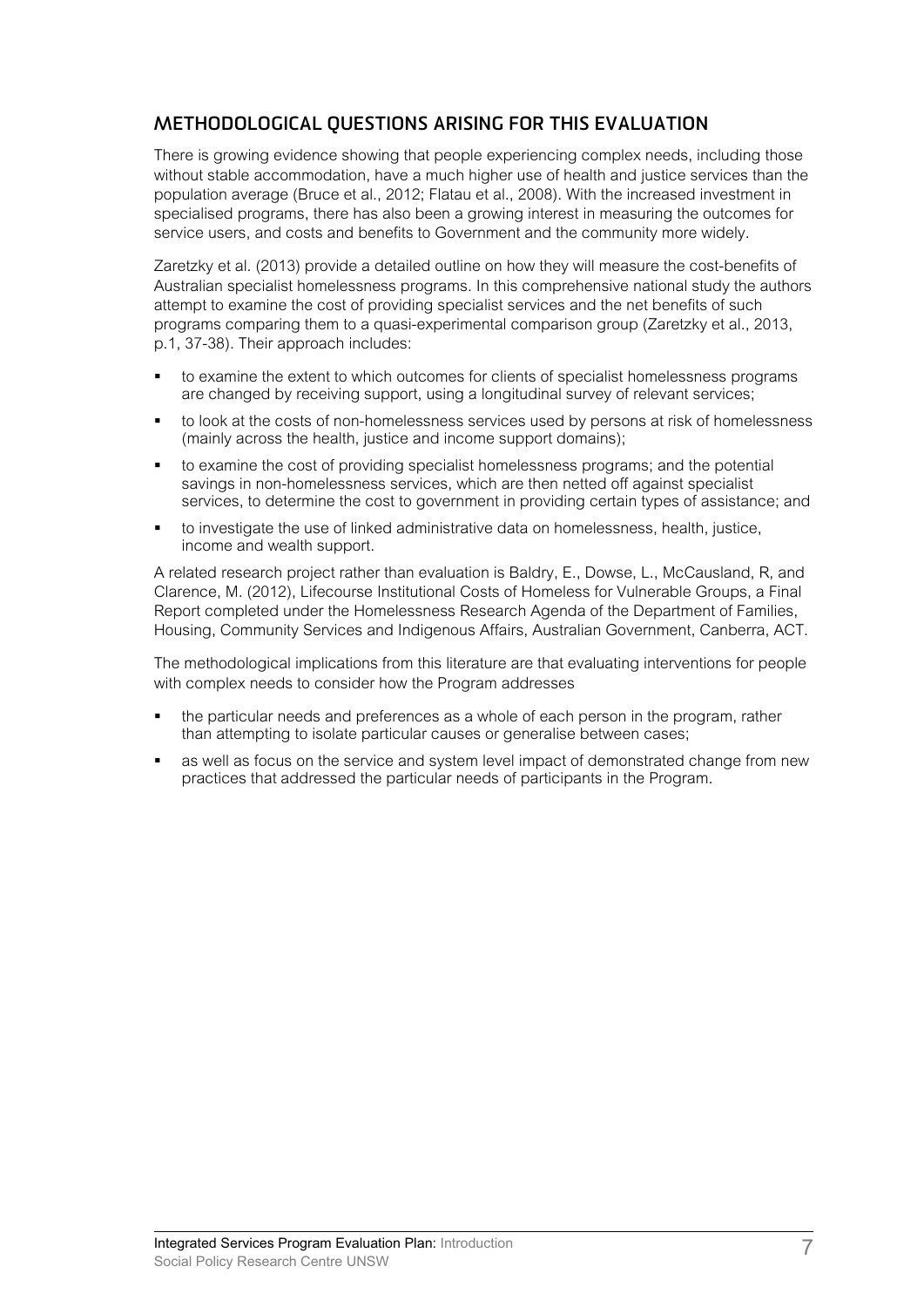### **METHODOLOGICAL QUESTIONS ARISING FOR THIS EVALUATION**

There is growing evidence showing that people experiencing complex needs, including those without stable accommodation, have a much higher use of health and justice services than the population average (Bruce et al., 2012; Flatau et al., 2008). With the increased investment in specialised programs, there has also been a growing interest in measuring the outcomes for service users, and costs and benefits to Government and the community more widely.

Zaretzky et al. (2013) provide a detailed outline on how they will measure the cost-benefits of Australian specialist homelessness programs. In this comprehensive national study the authors attempt to examine the cost of providing specialist services and the net benefits of such programs comparing them to a quasi-experimental comparison group (Zaretzky et al., 2013, p.1, 37-38). Their approach includes:

- to examine the extent to which outcomes for clients of specialist homelessness programs are changed by receiving support, using a longitudinal survey of relevant services;
- to look at the costs of non-homelessness services used by persons at risk of homelessness (mainly across the health, justice and income support domains);
- to examine the cost of providing specialist homelessness programs; and the potential savings in non-homelessness services, which are then netted off against specialist services, to determine the cost to government in providing certain types of assistance; and
- to investigate the use of linked administrative data on homelessness, health, justice, income and wealth support.

A related research project rather than evaluation is Baldry, E., Dowse, L., McCausland, R, and Clarence, M. (2012), Lifecourse Institutional Costs of Homeless for Vulnerable Groups, a Final Report completed under the Homelessness Research Agenda of the Department of Families, Housing, Community Services and Indigenous Affairs, Australian Government, Canberra, ACT.

The methodological implications from this literature are that evaluating interventions for people with complex needs to consider how the Program addresses

- the particular needs and preferences as a whole of each person in the program, rather than attempting to isolate particular causes or generalise between cases;
- as well as focus on the service and system level impact of demonstrated change from new practices that addressed the particular needs of participants in the Program.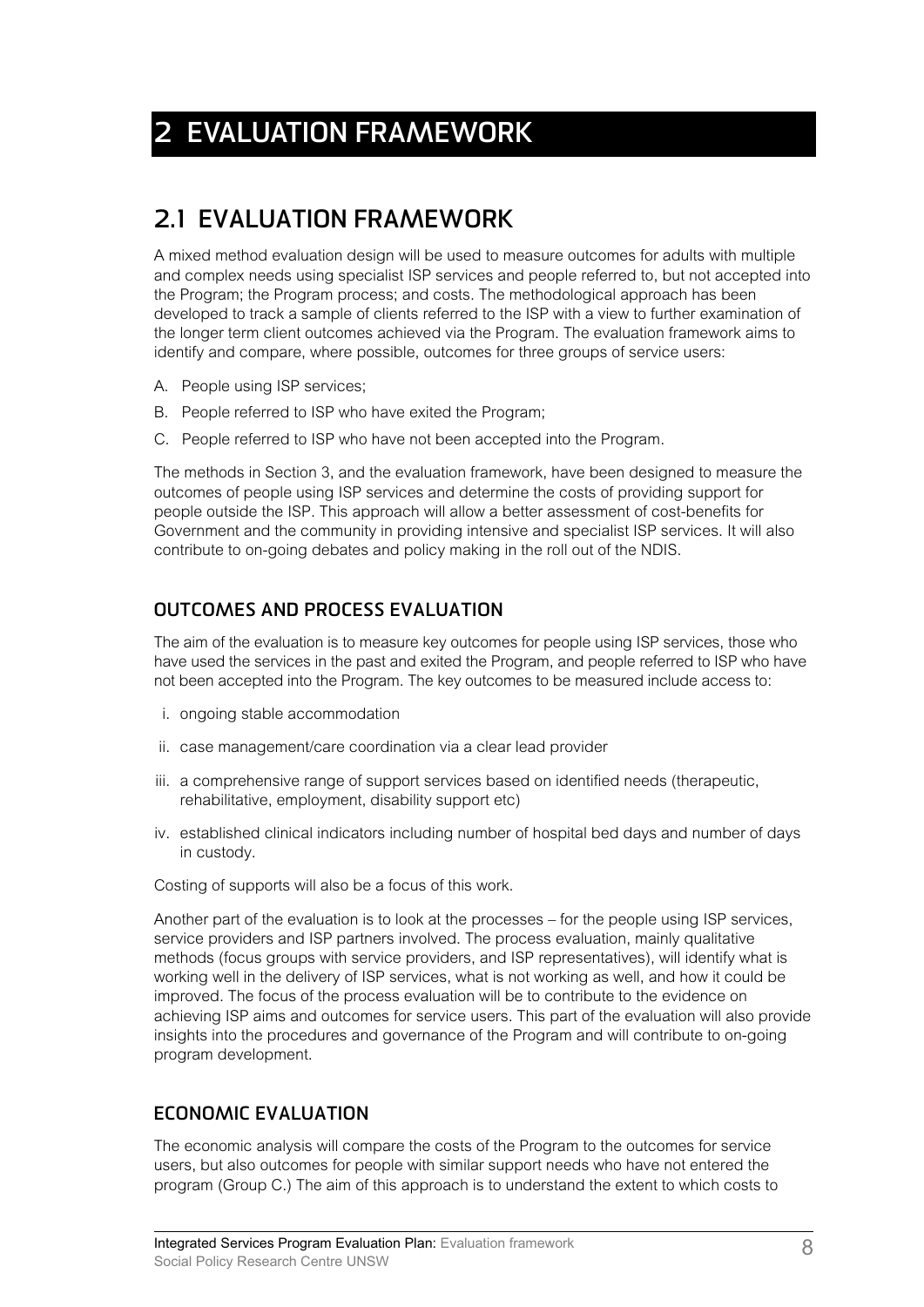# **2 EVALUATION FRAMEWORK**

### **2.1 EVALUATION FRAMEWORK**

A mixed method evaluation design will be used to measure outcomes for adults with multiple and complex needs using specialist ISP services and people referred to, but not accepted into the Program; the Program process; and costs. The methodological approach has been developed to track a sample of clients referred to the ISP with a view to further examination of the longer term client outcomes achieved via the Program. The evaluation framework aims to identify and compare, where possible, outcomes for three groups of service users:

- A. People using ISP services;
- B. People referred to ISP who have exited the Program;
- C. People referred to ISP who have not been accepted into the Program.

The methods in Section 3, and the evaluation framework, have been designed to measure the outcomes of people using ISP services and determine the costs of providing support for people outside the ISP. This approach will allow a better assessment of cost-benefits for Government and the community in providing intensive and specialist ISP services. It will also contribute to on-going debates and policy making in the roll out of the NDIS.

#### **OUTCOMES AND PROCESS EVALUATION**

The aim of the evaluation is to measure key outcomes for people using ISP services, those who have used the services in the past and exited the Program, and people referred to ISP who have not been accepted into the Program. The key outcomes to be measured include access to:

- i. ongoing stable accommodation
- ii. case management/care coordination via a clear lead provider
- iii. a comprehensive range of support services based on identified needs (therapeutic, rehabilitative, employment, disability support etc)
- iv. established clinical indicators including number of hospital bed days and number of days in custody.

Costing of supports will also be a focus of this work.

Another part of the evaluation is to look at the processes – for the people using ISP services, service providers and ISP partners involved. The process evaluation, mainly qualitative methods (focus groups with service providers, and ISP representatives), will identify what is working well in the delivery of ISP services, what is not working as well, and how it could be improved. The focus of the process evaluation will be to contribute to the evidence on achieving ISP aims and outcomes for service users. This part of the evaluation will also provide insights into the procedures and governance of the Program and will contribute to on-going program development.

### **ECONOMIC EVALUATION**

The economic analysis will compare the costs of the Program to the outcomes for service users, but also outcomes for people with similar support needs who have not entered the program (Group C.) The aim of this approach is to understand the extent to which costs to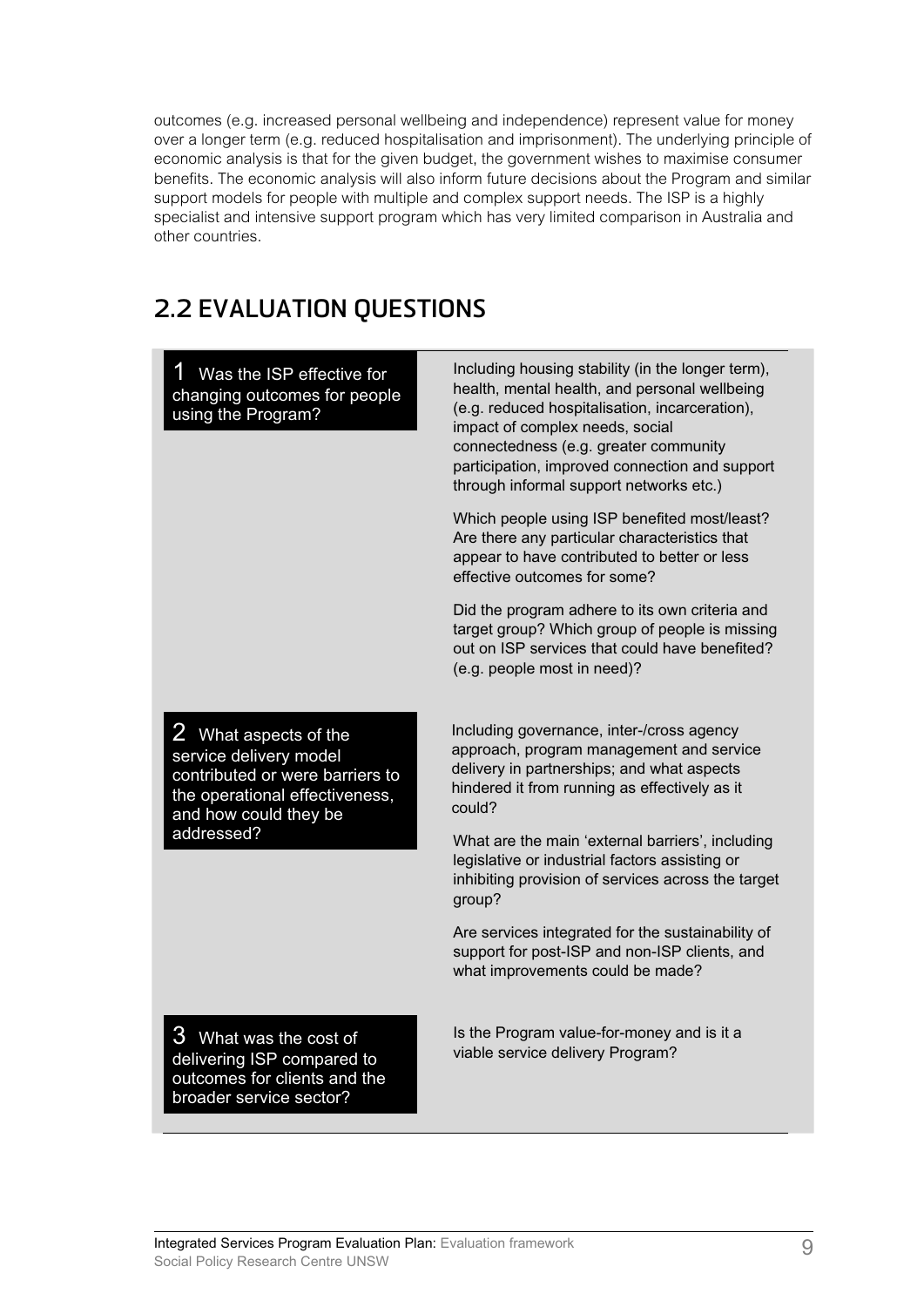outcomes (e.g. increased personal wellbeing and independence) represent value for money over a longer term (e.g. reduced hospitalisation and imprisonment). The underlying principle of economic analysis is that for the given budget, the government wishes to maximise consumer benefits. The economic analysis will also inform future decisions about the Program and similar support models for people with multiple and complex support needs. The ISP is a highly specialist and intensive support program which has very limited comparison in Australia and other countries.

### **2.2 EVALUATION QUESTIONS**

|                                                                                                                                               | Including housing stability (in the longer term),                                                                                                                                                                                                                        |
|-----------------------------------------------------------------------------------------------------------------------------------------------|--------------------------------------------------------------------------------------------------------------------------------------------------------------------------------------------------------------------------------------------------------------------------|
| Was the ISP effective for<br>changing outcomes for people<br>using the Program?                                                               | health, mental health, and personal wellbeing<br>(e.g. reduced hospitalisation, incarceration),<br>impact of complex needs, social<br>connectedness (e.g. greater community<br>participation, improved connection and support<br>through informal support networks etc.) |
|                                                                                                                                               | Which people using ISP benefited most/least?<br>Are there any particular characteristics that<br>appear to have contributed to better or less<br>effective outcomes for some?                                                                                            |
|                                                                                                                                               | Did the program adhere to its own criteria and<br>target group? Which group of people is missing<br>out on ISP services that could have benefited?<br>(e.g. people most in need)?                                                                                        |
| 2 What aspects of the<br>service delivery model<br>contributed or were barriers to<br>the operational effectiveness,<br>and how could they be | Including governance, inter-/cross agency<br>approach, program management and service<br>delivery in partnerships; and what aspects<br>hindered it from running as effectively as it<br>could?                                                                           |
| addressed?                                                                                                                                    | What are the main 'external barriers', including<br>legislative or industrial factors assisting or<br>inhibiting provision of services across the target<br>group?                                                                                                       |
|                                                                                                                                               | Are services integrated for the sustainability of<br>support for post-ISP and non-ISP clients, and<br>what improvements could be made?                                                                                                                                   |
| 3<br>What was the cost of<br>delivering ISP compared to<br>outcomes for clients and the<br>broader service sector?                            | Is the Program value-for-money and is it a<br>viable service delivery Program?                                                                                                                                                                                           |
|                                                                                                                                               |                                                                                                                                                                                                                                                                          |

Integrated Services Program Evaluation Plan: Evaluation framework Social Policy Research Centre UNSW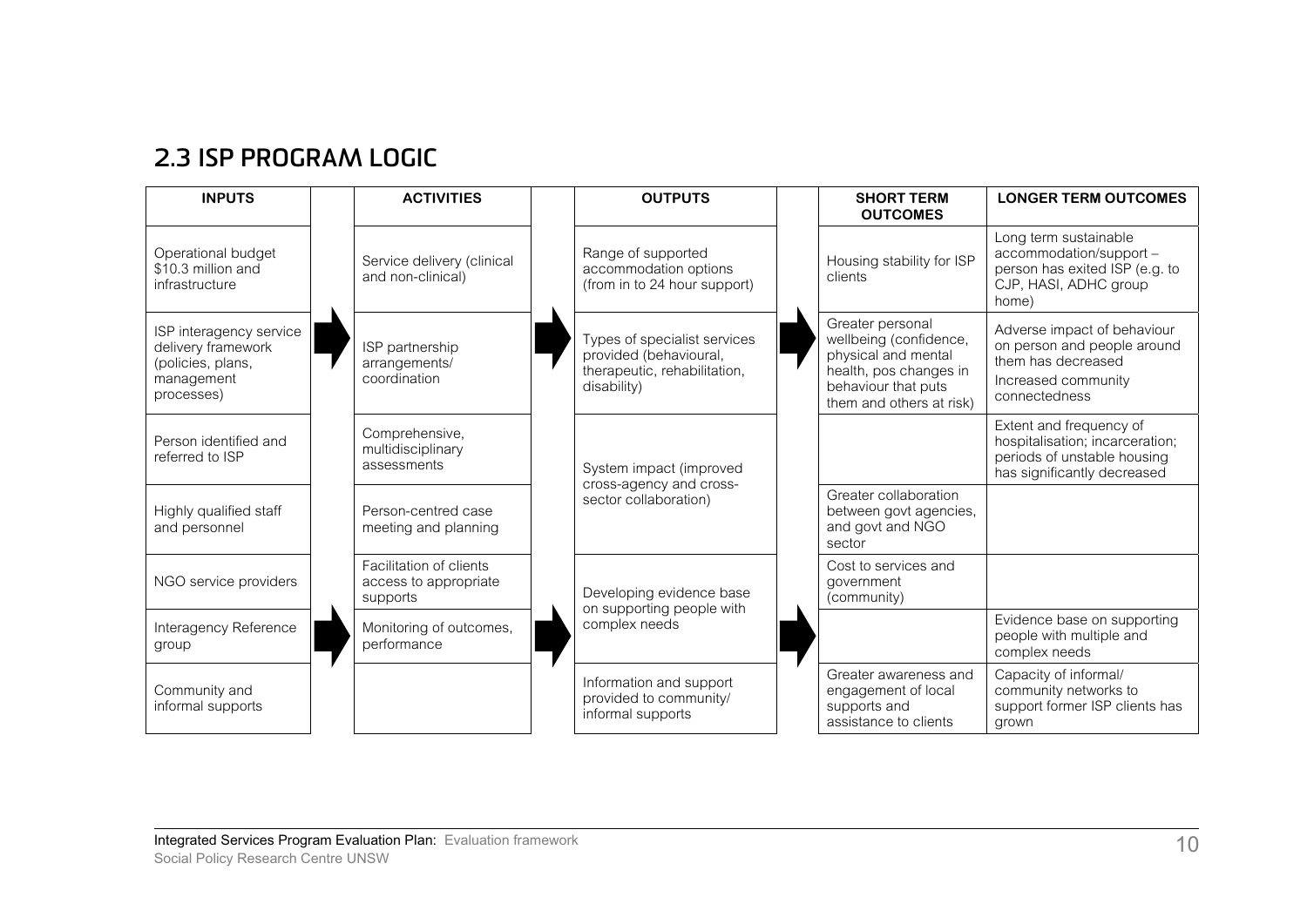### **2.3 ISP PROGRAM LOGIC**

| <b>INPUTS</b>                                                                                  |  | <b>ACTIVITIES</b>                                            |                                                  | <b>OUTPUTS</b>                                                                                                                                   |                                                                                                       | <b>SHORT TERM</b><br><b>OUTCOMES</b>                                                  | <b>LONGER TERM OUTCOMES</b>                                                                                                                    |                                                                                                                          |
|------------------------------------------------------------------------------------------------|--|--------------------------------------------------------------|--------------------------------------------------|--------------------------------------------------------------------------------------------------------------------------------------------------|-------------------------------------------------------------------------------------------------------|---------------------------------------------------------------------------------------|------------------------------------------------------------------------------------------------------------------------------------------------|--------------------------------------------------------------------------------------------------------------------------|
| Operational budget<br>\$10.3 million and<br>infrastructure                                     |  | Service delivery (clinical<br>and non-clinical)              |                                                  | Range of supported<br>accommodation options<br>(from in to 24 hour support)                                                                      |                                                                                                       | Housing stability for ISP<br>clients                                                  | Long term sustainable<br>accommodation/support -<br>person has exited ISP (e.g. to<br>CJP, HASI, ADHC group<br>home)                           |                                                                                                                          |
| ISP interagency service<br>delivery framework<br>(policies, plans,<br>management<br>processes) |  |                                                              | ISP partnership<br>arrangements/<br>coordination |                                                                                                                                                  | Types of specialist services<br>provided (behavioural,<br>therapeutic, rehabilitation,<br>disability) |                                                                                       | Greater personal<br>wellbeing (confidence,<br>physical and mental<br>health, pos changes in<br>behaviour that puts<br>them and others at risk) | Adverse impact of behaviour<br>on person and people around<br>them has decreased<br>Increased community<br>connectedness |
| Person identified and<br>referred to ISP                                                       |  | Comprehensive,<br>multidisciplinary<br>assessments           |                                                  | System impact (improved                                                                                                                          |                                                                                                       |                                                                                       | Extent and frequency of<br>hospitalisation; incarceration;<br>periods of unstable housing<br>has significantly decreased                       |                                                                                                                          |
| Highly qualified staff<br>and personnel                                                        |  | Person-centred case<br>meeting and planning                  |                                                  | cross-agency and cross-<br>sector collaboration)                                                                                                 |                                                                                                       | Greater collaboration<br>between govt agencies,<br>and govt and NGO<br>sector         |                                                                                                                                                |                                                                                                                          |
| NGO service providers                                                                          |  | Facilitation of clients<br>access to appropriate<br>supports |                                                  | Developing evidence base<br>on supporting people with<br>complex needs<br>Information and support<br>provided to community/<br>informal supports |                                                                                                       | Cost to services and<br>government<br>(community)                                     |                                                                                                                                                |                                                                                                                          |
| Interagency Reference<br>group                                                                 |  | Monitoring of outcomes,<br>performance                       |                                                  |                                                                                                                                                  |                                                                                                       |                                                                                       | Evidence base on supporting<br>people with multiple and<br>complex needs                                                                       |                                                                                                                          |
| Community and<br>informal supports                                                             |  |                                                              |                                                  |                                                                                                                                                  |                                                                                                       | Greater awareness and<br>engagement of local<br>supports and<br>assistance to clients | Capacity of informal/<br>community networks to<br>support former ISP clients has<br>grown                                                      |                                                                                                                          |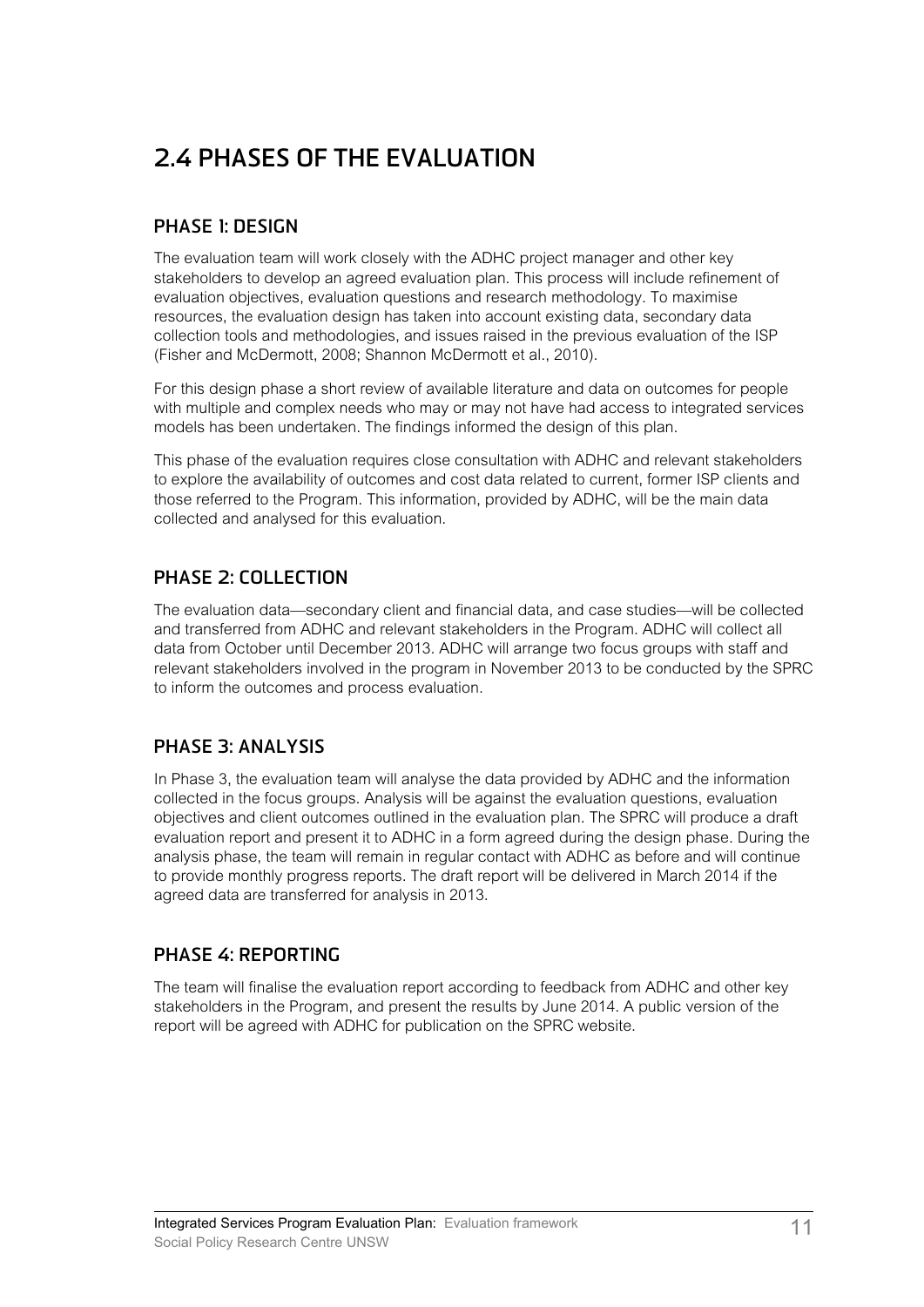# **2.4 PHASES OF THE EVALUATION**

#### **PHASE 1: DESIGN**

The evaluation team will work closely with the ADHC project manager and other key stakeholders to develop an agreed evaluation plan. This process will include refinement of evaluation objectives, evaluation questions and research methodology. To maximise resources, the evaluation design has taken into account existing data, secondary data collection tools and methodologies, and issues raised in the previous evaluation of the ISP (Fisher and McDermott, 2008; Shannon McDermott et al., 2010).

For this design phase a short review of available literature and data on outcomes for people with multiple and complex needs who may or may not have had access to integrated services models has been undertaken. The findings informed the design of this plan.

This phase of the evaluation requires close consultation with ADHC and relevant stakeholders to explore the availability of outcomes and cost data related to current, former ISP clients and those referred to the Program. This information, provided by ADHC, will be the main data collected and analysed for this evaluation.

#### **PHASE 2: COLLECTION**

The evaluation data—secondary client and financial data, and case studies—will be collected and transferred from ADHC and relevant stakeholders in the Program. ADHC will collect all data from October until December 2013. ADHC will arrange two focus groups with staff and relevant stakeholders involved in the program in November 2013 to be conducted by the SPRC to inform the outcomes and process evaluation.

#### **PHASE 3: ANALYSIS**

In Phase 3, the evaluation team will analyse the data provided by ADHC and the information collected in the focus groups. Analysis will be against the evaluation questions, evaluation objectives and client outcomes outlined in the evaluation plan. The SPRC will produce a draft evaluation report and present it to ADHC in a form agreed during the design phase. During the analysis phase, the team will remain in regular contact with ADHC as before and will continue to provide monthly progress reports. The draft report will be delivered in March 2014 if the agreed data are transferred for analysis in 2013.

#### **PHASE 4: REPORTING**

The team will finalise the evaluation report according to feedback from ADHC and other key stakeholders in the Program, and present the results by June 2014. A public version of the report will be agreed with ADHC for publication on the SPRC website.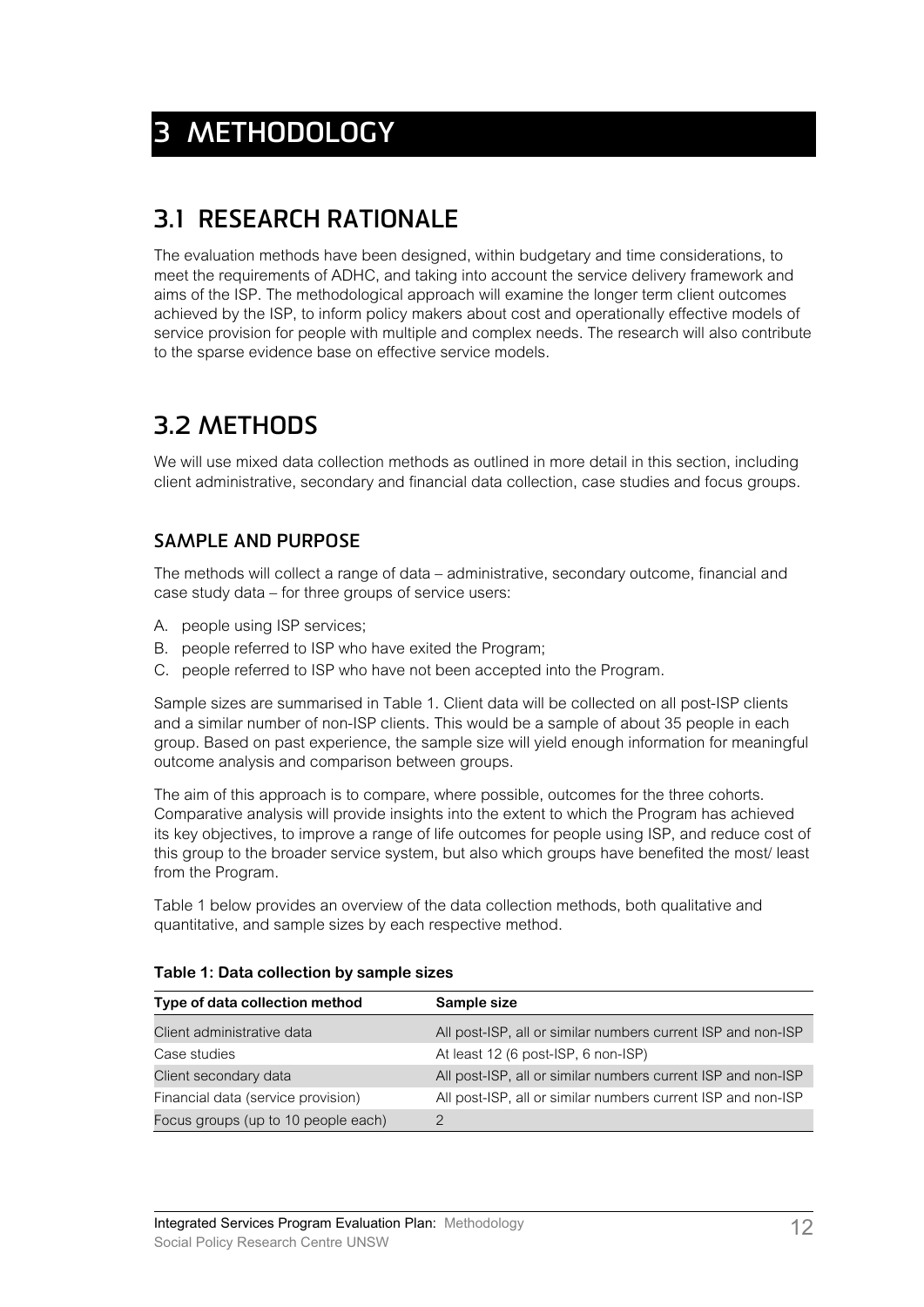# **3 METHODOLOGY**

### **3.1 RESEARCH RATIONALE**

The evaluation methods have been designed, within budgetary and time considerations, to meet the requirements of ADHC, and taking into account the service delivery framework and aims of the ISP. The methodological approach will examine the longer term client outcomes achieved by the ISP, to inform policy makers about cost and operationally effective models of service provision for people with multiple and complex needs. The research will also contribute to the sparse evidence base on effective service models.

### **3.2 METHODS**

We will use mixed data collection methods as outlined in more detail in this section, including client administrative, secondary and financial data collection, case studies and focus groups.

### **SAMPLE AND PURPOSE**

The methods will collect a range of data – administrative, secondary outcome, financial and case study data – for three groups of service users:

- A. people using ISP services;
- B. people referred to ISP who have exited the Program;
- C. people referred to ISP who have not been accepted into the Program.

Sample sizes are summarised in Table 1. Client data will be collected on all post-ISP clients and a similar number of non-ISP clients. This would be a sample of about 35 people in each group. Based on past experience, the sample size will yield enough information for meaningful outcome analysis and comparison between groups.

The aim of this approach is to compare, where possible, outcomes for the three cohorts. Comparative analysis will provide insights into the extent to which the Program has achieved its key objectives, to improve a range of life outcomes for people using ISP, and reduce cost of this group to the broader service system, but also which groups have benefited the most/ least from the Program.

Table 1 below provides an overview of the data collection methods, both qualitative and quantitative, and sample sizes by each respective method.

| Type of data collection method      | Sample size                                                  |  |  |
|-------------------------------------|--------------------------------------------------------------|--|--|
| Client administrative data          | All post-ISP, all or similar numbers current ISP and non-ISP |  |  |
| Case studies                        | At least 12 (6 post-ISP, 6 non-ISP)                          |  |  |
| Client secondary data               | All post-ISP, all or similar numbers current ISP and non-ISP |  |  |
| Financial data (service provision)  | All post-ISP, all or similar numbers current ISP and non-ISP |  |  |
| Focus groups (up to 10 people each) |                                                              |  |  |

#### **Table 1: Data collection by sample sizes**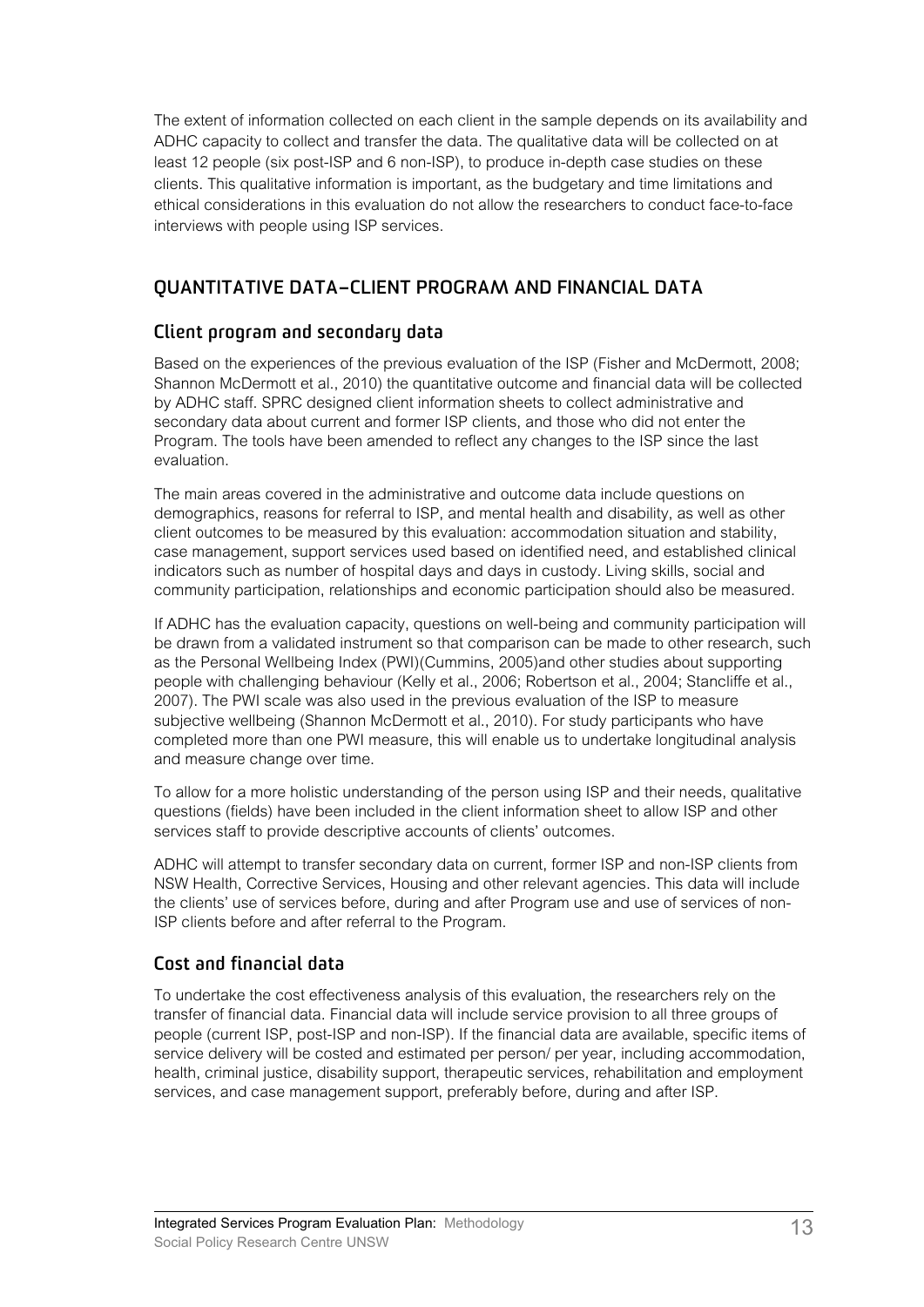The extent of information collected on each client in the sample depends on its availability and ADHC capacity to collect and transfer the data. The qualitative data will be collected on at least 12 people (six post-ISP and 6 non-ISP), to produce in-depth case studies on these clients. This qualitative information is important, as the budgetary and time limitations and ethical considerations in this evaluation do not allow the researchers to conduct face-to-face interviews with people using ISP services.

### **QUANTITATIVE DATA–CLIENT PROGRAM AND FINANCIAL DATA**

#### **Client program and secondary data**

Based on the experiences of the previous evaluation of the ISP (Fisher and McDermott, 2008; Shannon McDermott et al., 2010) the quantitative outcome and financial data will be collected by ADHC staff. SPRC designed client information sheets to collect administrative and secondary data about current and former ISP clients, and those who did not enter the Program. The tools have been amended to reflect any changes to the ISP since the last evaluation.

The main areas covered in the administrative and outcome data include questions on demographics, reasons for referral to ISP, and mental health and disability, as well as other client outcomes to be measured by this evaluation: accommodation situation and stability, case management, support services used based on identified need, and established clinical indicators such as number of hospital days and days in custody. Living skills, social and community participation, relationships and economic participation should also be measured.

If ADHC has the evaluation capacity, questions on well-being and community participation will be drawn from a validated instrument so that comparison can be made to other research, such as the Personal Wellbeing Index (PWI)(Cummins, 2005)and other studies about supporting people with challenging behaviour (Kelly et al., 2006; Robertson et al., 2004; Stancliffe et al., 2007). The PWI scale was also used in the previous evaluation of the ISP to measure subjective wellbeing (Shannon McDermott et al., 2010). For study participants who have completed more than one PWI measure, this will enable us to undertake longitudinal analysis and measure change over time.

To allow for a more holistic understanding of the person using ISP and their needs, qualitative questions (fields) have been included in the client information sheet to allow ISP and other services staff to provide descriptive accounts of clients' outcomes.

ADHC will attempt to transfer secondary data on current, former ISP and non-ISP clients from NSW Health, Corrective Services, Housing and other relevant agencies. This data will include the clients' use of services before, during and after Program use and use of services of non-ISP clients before and after referral to the Program.

### **Cost and financial data**

To undertake the cost effectiveness analysis of this evaluation, the researchers rely on the transfer of financial data. Financial data will include service provision to all three groups of people (current ISP, post-ISP and non-ISP). If the financial data are available, specific items of service delivery will be costed and estimated per person/ per year, including accommodation, health, criminal justice, disability support, therapeutic services, rehabilitation and employment services, and case management support, preferably before, during and after ISP.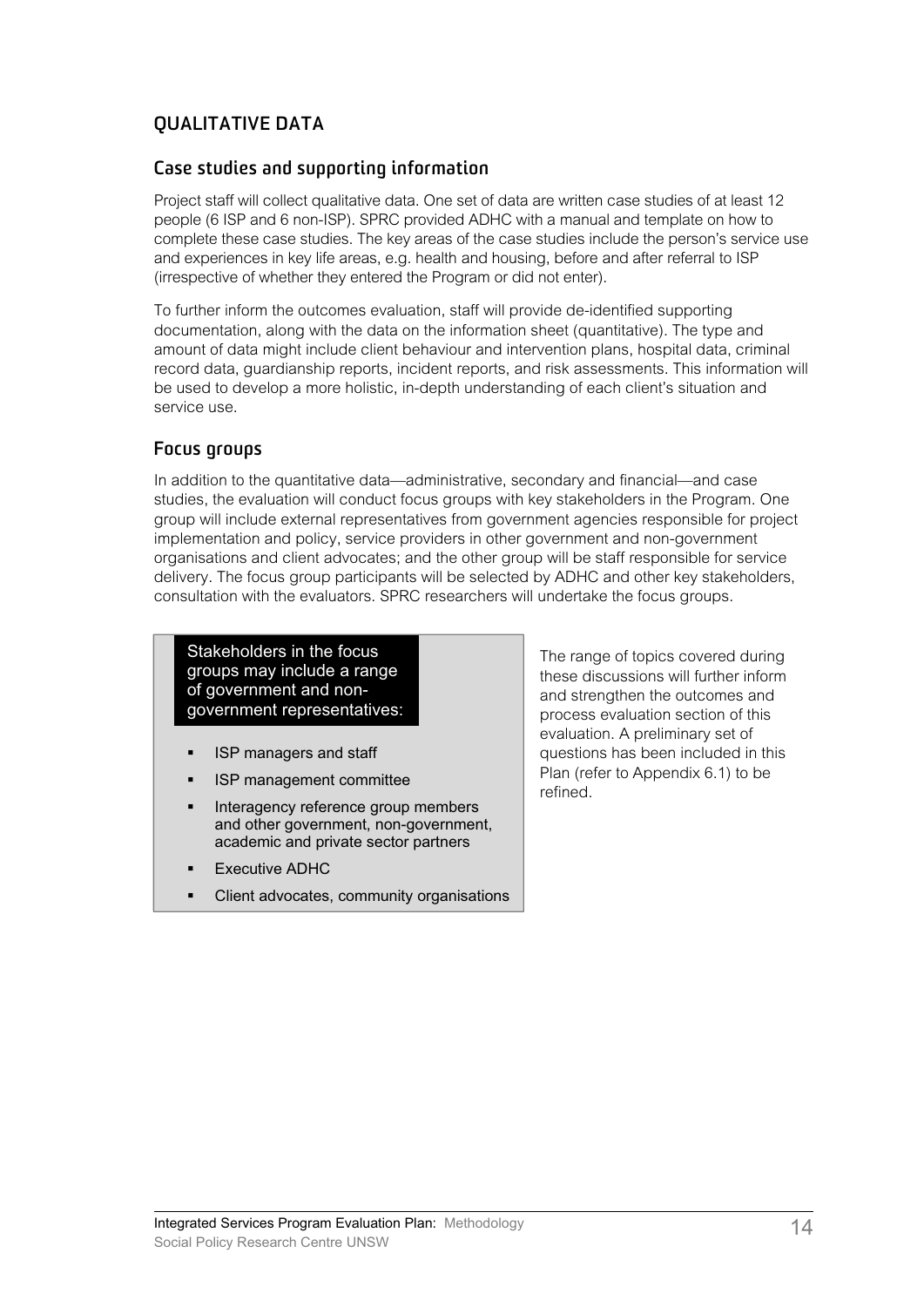### **QUALITATIVE DATA**

#### **Case studies and supporting information**

Project staff will collect qualitative data. One set of data are written case studies of at least 12 people (6 ISP and 6 non-ISP). SPRC provided ADHC with a manual and template on how to complete these case studies. The key areas of the case studies include the person's service use and experiences in key life areas, e.g. health and housing, before and after referral to ISP (irrespective of whether they entered the Program or did not enter).

To further inform the outcomes evaluation, staff will provide de-identified supporting documentation, along with the data on the information sheet (quantitative). The type and amount of data might include client behaviour and intervention plans, hospital data, criminal record data, guardianship reports, incident reports, and risk assessments. This information will be used to develop a more holistic, in-depth understanding of each client's situation and service use.

#### **Focus groups**

In addition to the quantitative data—administrative, secondary and financial—and case studies, the evaluation will conduct focus groups with key stakeholders in the Program. One group will include external representatives from government agencies responsible for project implementation and policy, service providers in other government and non-government organisations and client advocates; and the other group will be staff responsible for service delivery. The focus group participants will be selected by ADHC and other key stakeholders, consultation with the evaluators. SPRC researchers will undertake the focus groups.

Stakeholders in the focus groups may include a range of government and nongovernment representatives:

- **ISP managers and staff**
- **ISP management committee**
- Interagency reference group members and other government, non-government, academic and private sector partners
- Executive ADHC
- Client advocates, community organisations

The range of topics covered during these discussions will further inform and strengthen the outcomes and process evaluation section of this evaluation. A preliminary set of questions has been included in this Plan (refer to Appendix 6.1) to be refined.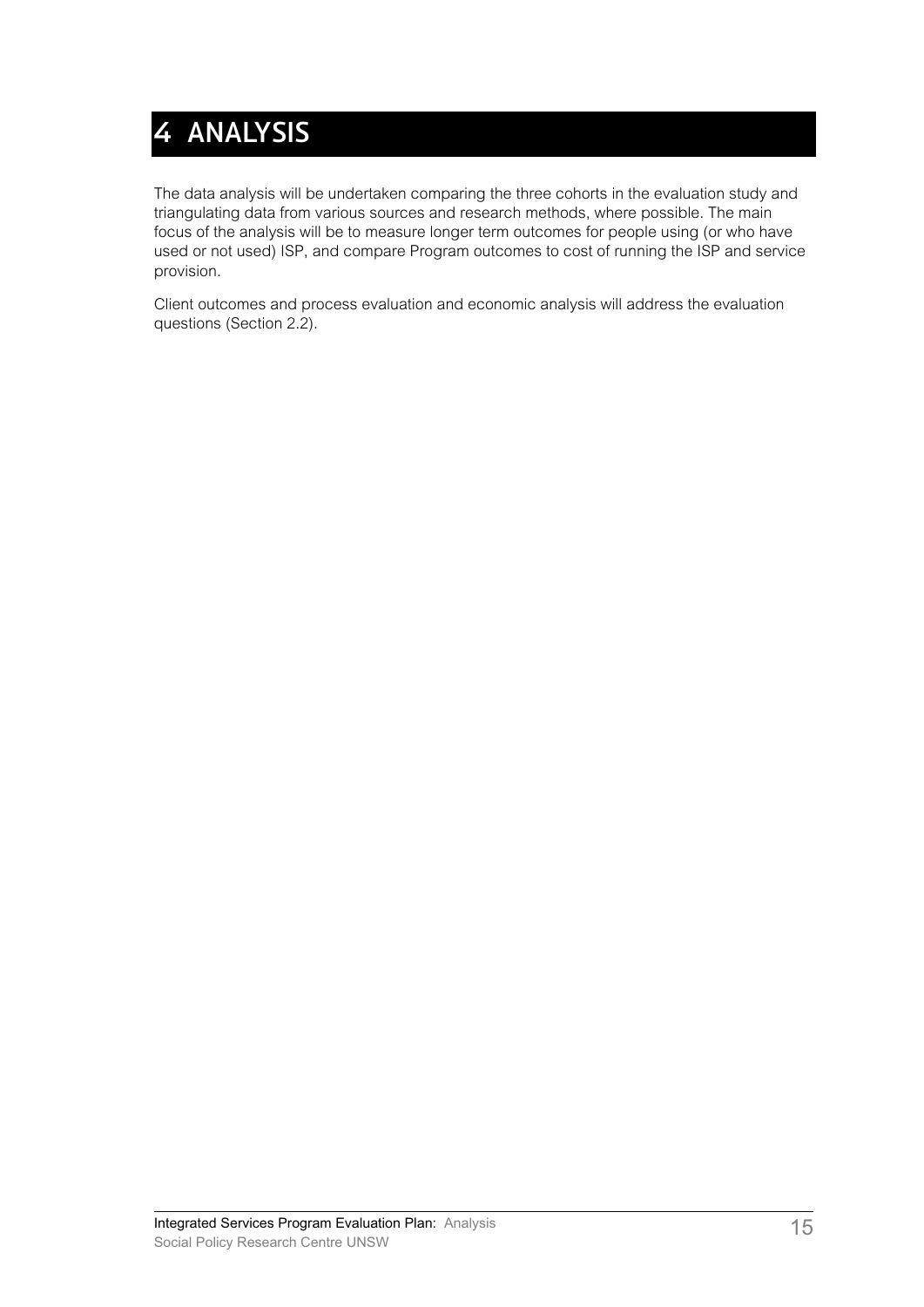# **4 ANALYSIS**

The data analysis will be undertaken comparing the three cohorts in the evaluation study and triangulating data from various sources and research methods, where possible. The main focus of the analysis will be to measure longer term outcomes for people using (or who have used or not used) ISP, and compare Program outcomes to cost of running the ISP and service provision.

Client outcomes and process evaluation and economic analysis will address the evaluation questions (Section 2.2).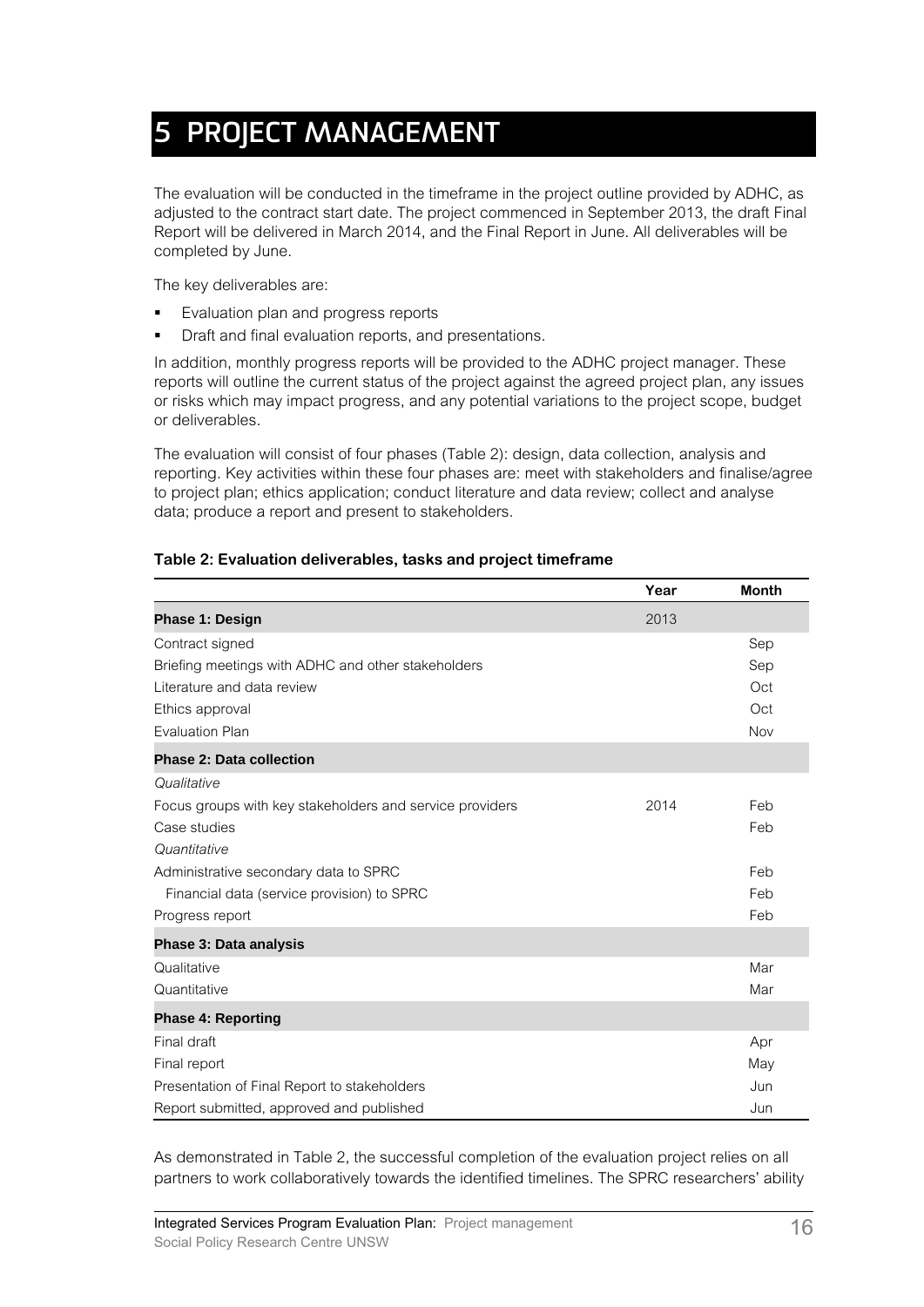# **5 PROJECT MANAGEMENT**

The evaluation will be conducted in the timeframe in the project outline provided by ADHC, as adjusted to the contract start date. The project commenced in September 2013, the draft Final Report will be delivered in March 2014, and the Final Report in June. All deliverables will be completed by June.

The key deliverables are:

- **Evaluation plan and progress reports**
- Draft and final evaluation reports, and presentations.

In addition, monthly progress reports will be provided to the ADHC project manager. These reports will outline the current status of the project against the agreed project plan, any issues or risks which may impact progress, and any potential variations to the project scope, budget or deliverables.

The evaluation will consist of four phases (Table 2): design, data collection, analysis and reporting. Key activities within these four phases are: meet with stakeholders and finalise/agree to project plan; ethics application; conduct literature and data review; collect and analyse data; produce a report and present to stakeholders.

|                                                          | Year | <b>Month</b> |
|----------------------------------------------------------|------|--------------|
| <b>Phase 1: Design</b>                                   | 2013 |              |
| Contract signed                                          |      | Sep          |
| Briefing meetings with ADHC and other stakeholders       |      | Sep          |
| Literature and data review                               |      | Oct          |
| Ethics approval                                          |      | Oct          |
| <b>Evaluation Plan</b>                                   |      | Nov          |
| <b>Phase 2: Data collection</b>                          |      |              |
| Qualitative                                              |      |              |
| Focus groups with key stakeholders and service providers | 2014 | Feb          |
| Case studies                                             |      | Feb          |
| Quantitative                                             |      |              |
| Administrative secondary data to SPRC                    |      | Feb          |
| Financial data (service provision) to SPRC               |      | Feb          |
| Progress report                                          |      | Feb          |
| Phase 3: Data analysis                                   |      |              |
| Qualitative                                              |      | Mar          |
| Quantitative                                             |      | Mar          |
| <b>Phase 4: Reporting</b>                                |      |              |
| Final draft                                              |      | Apr          |
| Final report                                             |      | May          |
| Presentation of Final Report to stakeholders             |      | Jun          |
| Report submitted, approved and published                 |      | Jun          |

#### **Table 2: Evaluation deliverables, tasks and project timeframe**

As demonstrated in Table 2, the successful completion of the evaluation project relies on all partners to work collaboratively towards the identified timelines. The SPRC researchers' ability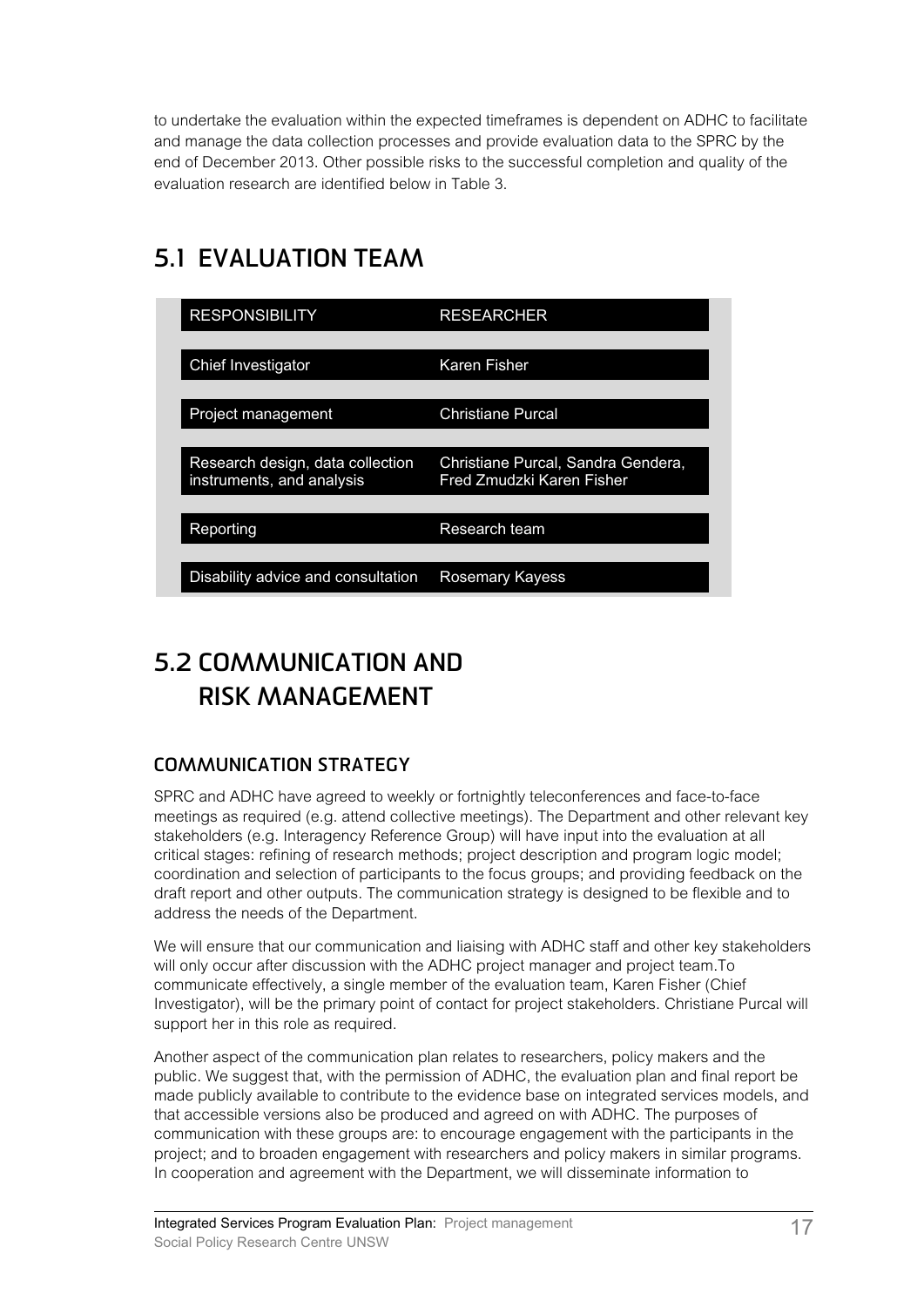to undertake the evaluation within the expected timeframes is dependent on ADHC to facilitate and manage the data collection processes and provide evaluation data to the SPRC by the end of December 2013. Other possible risks to the successful completion and quality of the evaluation research are identified below in Table 3.

## **5.1 EVALUATION TEAM**

| <b>RESPONSIBILITY</b>                                         | <b>RESEARCHER</b>                                               |
|---------------------------------------------------------------|-----------------------------------------------------------------|
| Chief Investigator                                            | Karen Fisher                                                    |
| Project management                                            | <b>Christiane Purcal</b>                                        |
| Research design, data collection<br>instruments, and analysis | Christiane Purcal, Sandra Gendera,<br>Fred Zmudzki Karen Fisher |
| Reporting                                                     | Research team                                                   |
|                                                               |                                                                 |
| Disability advice and consultation                            | Rosemary Kayess                                                 |

### **5.2 COMMUNICATION AND RISK MANAGEMENT**

### **COMMUNICATION STRATEGY**

SPRC and ADHC have agreed to weekly or fortnightly teleconferences and face-to-face meetings as required (e.g. attend collective meetings). The Department and other relevant key stakeholders (e.g. Interagency Reference Group) will have input into the evaluation at all critical stages: refining of research methods; project description and program logic model; coordination and selection of participants to the focus groups; and providing feedback on the draft report and other outputs. The communication strategy is designed to be flexible and to address the needs of the Department.

We will ensure that our communication and liaising with ADHC staff and other key stakeholders will only occur after discussion with the ADHC project manager and project team.To communicate effectively, a single member of the evaluation team, Karen Fisher (Chief Investigator), will be the primary point of contact for project stakeholders. Christiane Purcal will support her in this role as required.

Another aspect of the communication plan relates to researchers, policy makers and the public. We suggest that, with the permission of ADHC, the evaluation plan and final report be made publicly available to contribute to the evidence base on integrated services models, and that accessible versions also be produced and agreed on with ADHC. The purposes of communication with these groups are: to encourage engagement with the participants in the project; and to broaden engagement with researchers and policy makers in similar programs. In cooperation and agreement with the Department, we will disseminate information to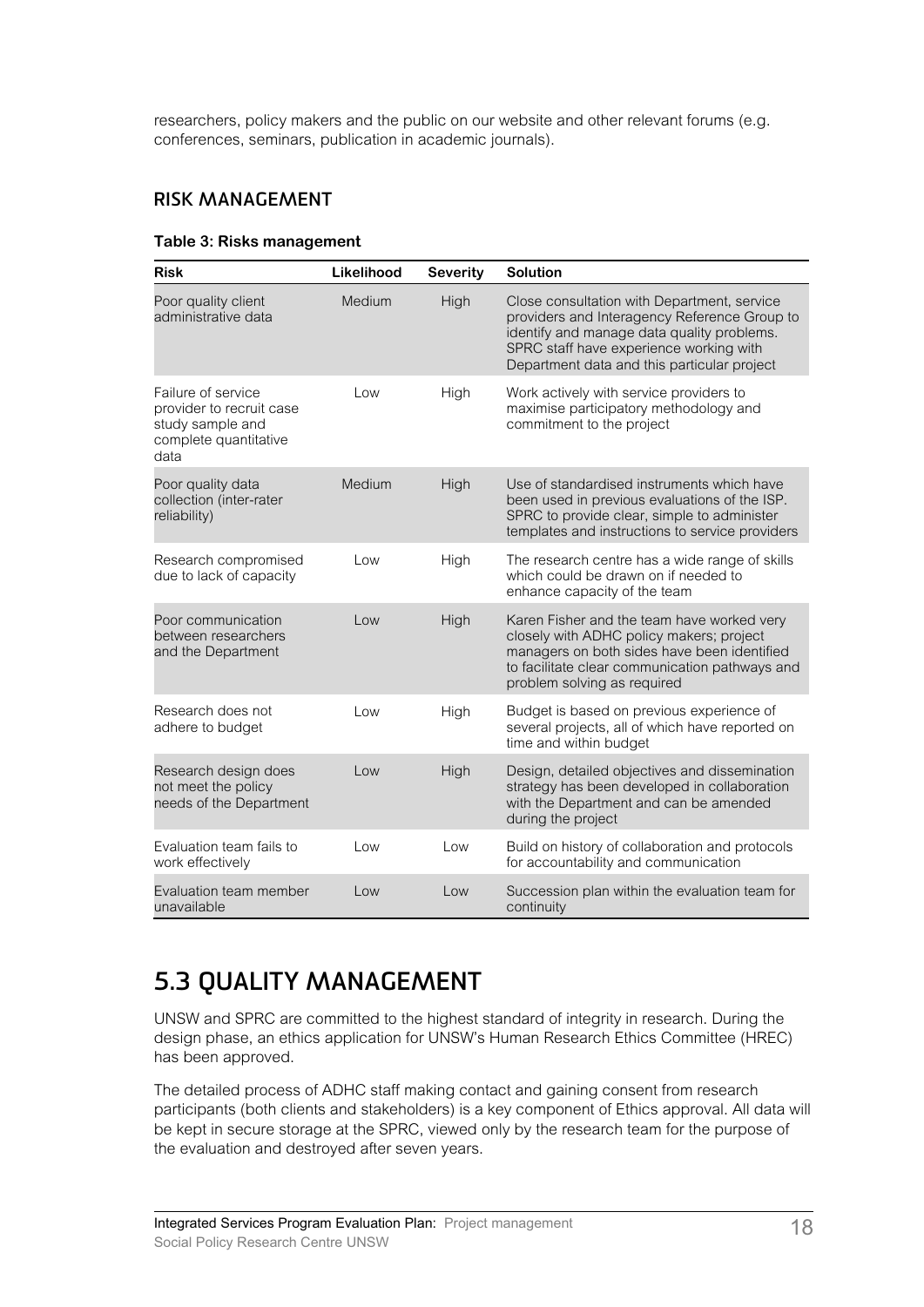researchers, policy makers and the public on our website and other relevant forums (e.g. conferences, seminars, publication in academic journals).

#### **RISK MANAGEMENT**

#### **Table 3: Risks management**

| <b>Risk</b>                                                                                         | Likelihood | <b>Severity</b> | <b>Solution</b>                                                                                                                                                                                                                     |
|-----------------------------------------------------------------------------------------------------|------------|-----------------|-------------------------------------------------------------------------------------------------------------------------------------------------------------------------------------------------------------------------------------|
| Poor quality client<br>administrative data                                                          | Medium     | High            | Close consultation with Department, service<br>providers and Interagency Reference Group to<br>identify and manage data quality problems.<br>SPRC staff have experience working with<br>Department data and this particular project |
| Failure of service<br>provider to recruit case<br>study sample and<br>complete quantitative<br>data | Low        | High            | Work actively with service providers to<br>maximise participatory methodology and<br>commitment to the project                                                                                                                      |
| Poor quality data<br>collection (inter-rater<br>reliability)                                        | Medium     | High            | Use of standardised instruments which have<br>been used in previous evaluations of the ISP.<br>SPRC to provide clear, simple to administer<br>templates and instructions to service providers                                       |
| Research compromised<br>due to lack of capacity                                                     | Low        | High            | The research centre has a wide range of skills<br>which could be drawn on if needed to<br>enhance capacity of the team                                                                                                              |
| Poor communication<br>between researchers<br>and the Department                                     | Low        | High            | Karen Fisher and the team have worked very<br>closely with ADHC policy makers; project<br>managers on both sides have been identified<br>to facilitate clear communication pathways and<br>problem solving as required              |
| Research does not<br>adhere to budget                                                               | Low        | High            | Budget is based on previous experience of<br>several projects, all of which have reported on<br>time and within budget                                                                                                              |
| Research design does<br>not meet the policy<br>needs of the Department                              | Low        | High            | Design, detailed objectives and dissemination<br>strategy has been developed in collaboration<br>with the Department and can be amended<br>during the project                                                                       |
| Evaluation team fails to<br>work effectively                                                        | Low        | Low             | Build on history of collaboration and protocols<br>for accountability and communication                                                                                                                                             |
| Evaluation team member<br>unavailable                                                               | Low        | Low             | Succession plan within the evaluation team for<br>continuity                                                                                                                                                                        |

### **5.3 QUALITY MANAGEMENT**

UNSW and SPRC are committed to the highest standard of integrity in research. During the design phase, an ethics application for UNSW's Human Research Ethics Committee (HREC) has been approved.

The detailed process of ADHC staff making contact and gaining consent from research participants (both clients and stakeholders) is a key component of Ethics approval. All data will be kept in secure storage at the SPRC, viewed only by the research team for the purpose of the evaluation and destroyed after seven years.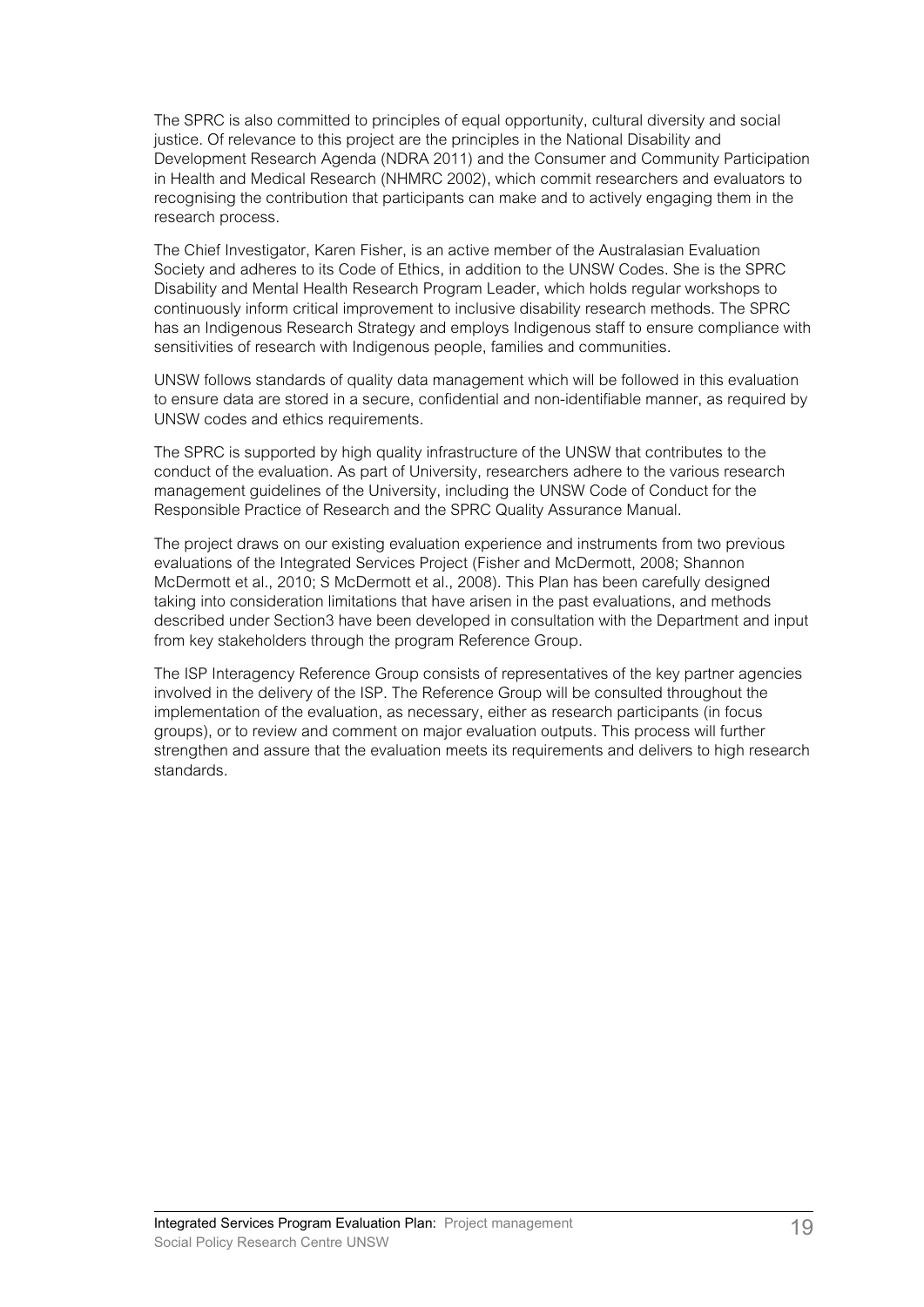The SPRC is also committed to principles of equal opportunity, cultural diversity and social justice. Of relevance to this project are the principles in the National Disability and Development Research Agenda (NDRA 2011) and the Consumer and Community Participation in Health and Medical Research (NHMRC 2002), which commit researchers and evaluators to recognising the contribution that participants can make and to actively engaging them in the research process.

The Chief Investigator, Karen Fisher, is an active member of the Australasian Evaluation Society and adheres to its Code of Ethics, in addition to the UNSW Codes. She is the SPRC Disability and Mental Health Research Program Leader, which holds regular workshops to continuously inform critical improvement to inclusive disability research methods. The SPRC has an Indigenous Research Strategy and employs Indigenous staff to ensure compliance with sensitivities of research with Indigenous people, families and communities.

UNSW follows standards of quality data management which will be followed in this evaluation to ensure data are stored in a secure, confidential and non-identifiable manner, as required by UNSW codes and ethics requirements.

The SPRC is supported by high quality infrastructure of the UNSW that contributes to the conduct of the evaluation. As part of University, researchers adhere to the various research management guidelines of the University, including the UNSW Code of Conduct for the Responsible Practice of Research and the SPRC Quality Assurance Manual.

The project draws on our existing evaluation experience and instruments from two previous evaluations of the Integrated Services Project (Fisher and McDermott, 2008; Shannon McDermott et al., 2010; S McDermott et al., 2008). This Plan has been carefully designed taking into consideration limitations that have arisen in the past evaluations, and methods described under Section3 have been developed in consultation with the Department and input from key stakeholders through the program Reference Group.

The ISP Interagency Reference Group consists of representatives of the key partner agencies involved in the delivery of the ISP. The Reference Group will be consulted throughout the implementation of the evaluation, as necessary, either as research participants (in focus groups), or to review and comment on major evaluation outputs. This process will further strengthen and assure that the evaluation meets its requirements and delivers to high research standards.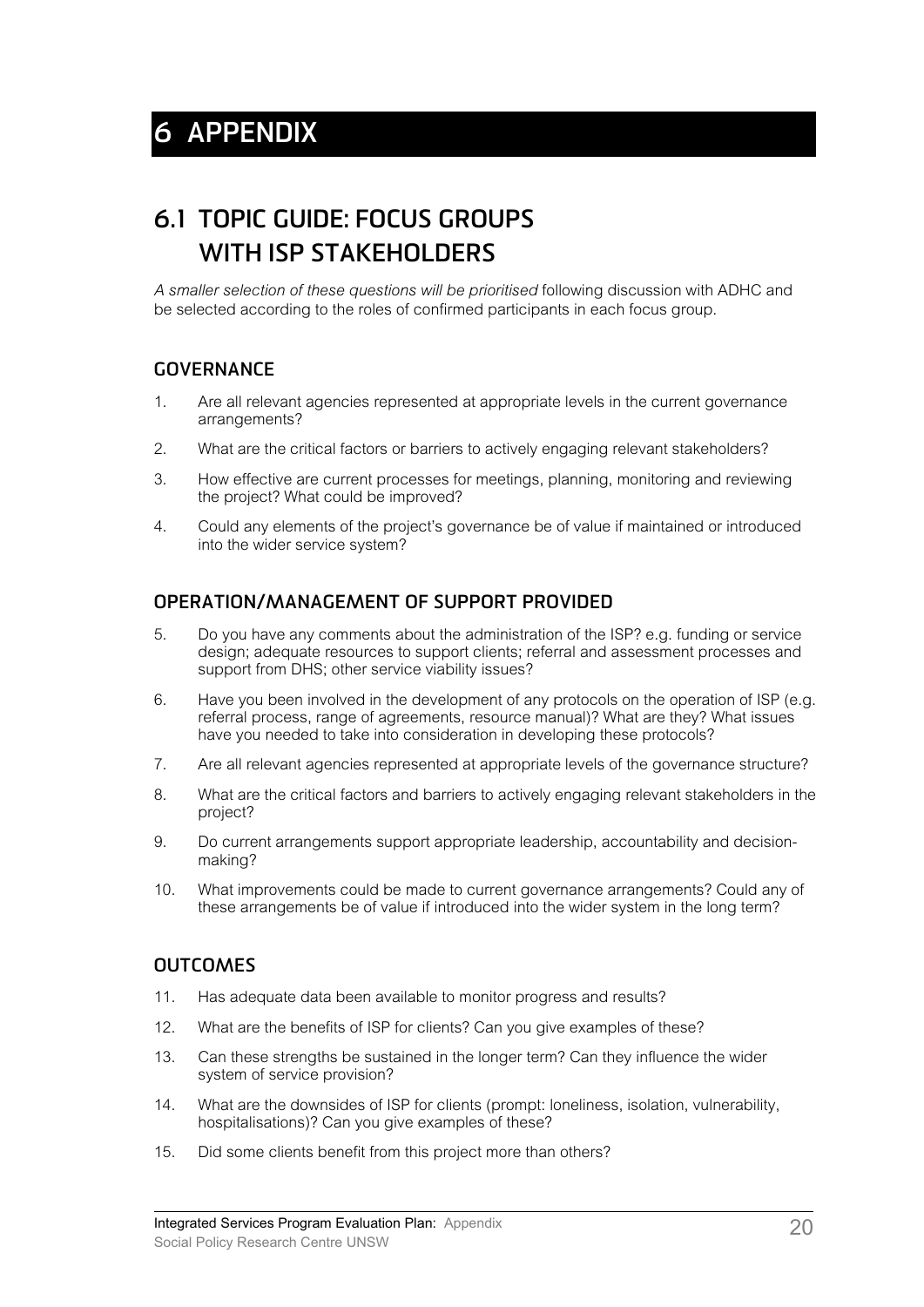# **6.1 TOPIC GUIDE: FOCUS GROUPS WITH ISP STAKEHOLDERS**

*A smaller selection of these questions will be prioritised* following discussion with ADHC and be selected according to the roles of confirmed participants in each focus group.

#### **GOVERNANCE**

- 1. Are all relevant agencies represented at appropriate levels in the current governance arrangements?
- 2. What are the critical factors or barriers to actively engaging relevant stakeholders?
- 3. How effective are current processes for meetings, planning, monitoring and reviewing the project? What could be improved?
- 4. Could any elements of the project's governance be of value if maintained or introduced into the wider service system?

#### **OPERATION/MANAGEMENT OF SUPPORT PROVIDED**

- 5. Do you have any comments about the administration of the ISP? e.g. funding or service design; adequate resources to support clients; referral and assessment processes and support from DHS; other service viability issues?
- 6. Have you been involved in the development of any protocols on the operation of ISP (e.g. referral process, range of agreements, resource manual)? What are they? What issues have you needed to take into consideration in developing these protocols?
- 7. Are all relevant agencies represented at appropriate levels of the governance structure?
- 8. What are the critical factors and barriers to actively engaging relevant stakeholders in the project?
- 9. Do current arrangements support appropriate leadership, accountability and decisionmaking?
- 10. What improvements could be made to current governance arrangements? Could any of these arrangements be of value if introduced into the wider system in the long term?

#### **OUTCOMES**

- 11. Has adequate data been available to monitor progress and results?
- 12. What are the benefits of ISP for clients? Can you give examples of these?
- 13. Can these strengths be sustained in the longer term? Can they influence the wider system of service provision?
- 14. What are the downsides of ISP for clients (prompt: loneliness, isolation, vulnerability, hospitalisations)? Can you give examples of these?
- 15. Did some clients benefit from this project more than others?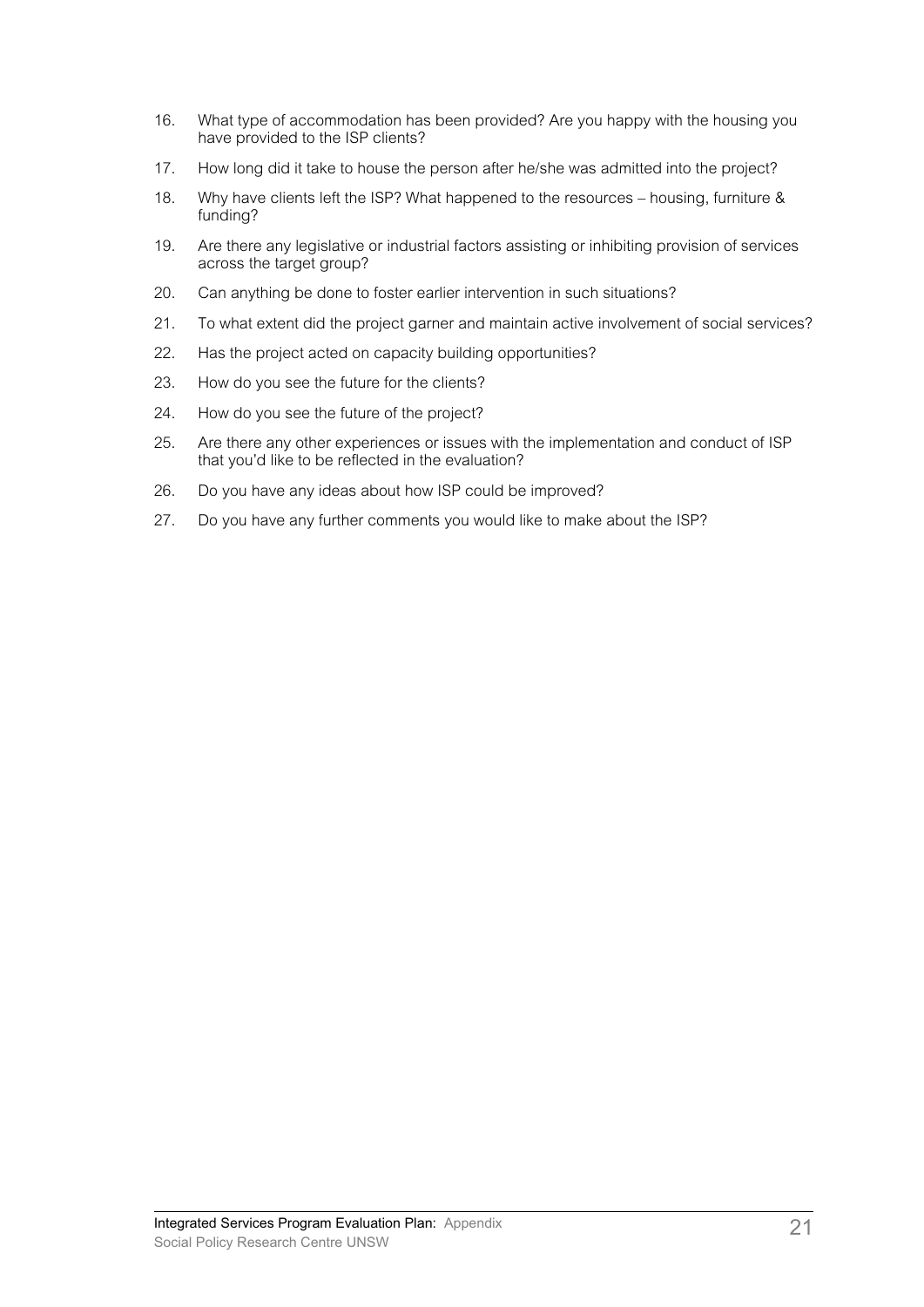- 16. What type of accommodation has been provided? Are you happy with the housing you have provided to the ISP clients?
- 17. How long did it take to house the person after he/she was admitted into the project?
- 18. Why have clients left the ISP? What happened to the resources housing, furniture & funding?
- 19. Are there any legislative or industrial factors assisting or inhibiting provision of services across the target group?
- 20. Can anything be done to foster earlier intervention in such situations?
- 21. To what extent did the project garner and maintain active involvement of social services?
- 22. Has the project acted on capacity building opportunities?
- 23. How do you see the future for the clients?
- 24. How do you see the future of the project?
- 25. Are there any other experiences or issues with the implementation and conduct of ISP that you'd like to be reflected in the evaluation?
- 26. Do you have any ideas about how ISP could be improved?
- 27. Do you have any further comments you would like to make about the ISP?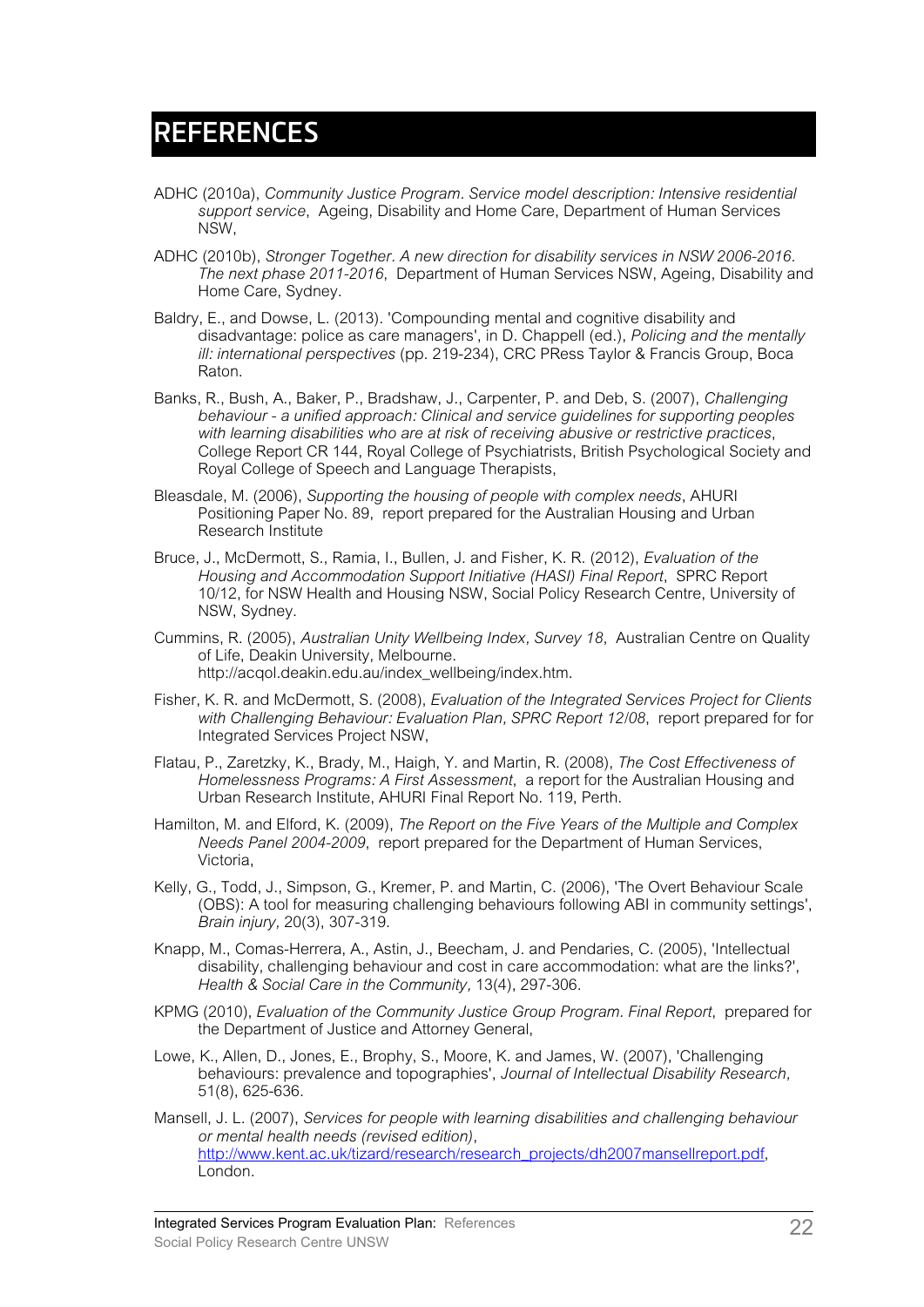### **REFERENCES**

- ADHC (2010a), *Community Justice Program. Service model description: Intensive residential support service*, Ageing, Disability and Home Care, Department of Human Services NSW,
- ADHC (2010b), *Stronger Together. A new direction for disability services in NSW 2006-2016. The next phase 2011-2016*, Department of Human Services NSW, Ageing, Disability and Home Care, Sydney.
- Baldry, E., and Dowse, L. (2013). 'Compounding mental and cognitive disability and disadvantage: police as care managers', in D. Chappell (ed.), *Policing and the mentally ill: international perspectives* (pp. 219-234), CRC PRess Taylor & Francis Group, Boca Raton.
- Banks, R., Bush, A., Baker, P., Bradshaw, J., Carpenter, P. and Deb, S. (2007), *Challenging behaviour - a unified approach: Clinical and service guidelines for supporting peoples with learning disabilities who are at risk of receiving abusive or restrictive practices*, College Report CR 144, Royal College of Psychiatrists, British Psychological Society and Royal College of Speech and Language Therapists,
- Bleasdale, M. (2006), *Supporting the housing of people with complex needs*, AHURI Positioning Paper No. 89, report prepared for the Australian Housing and Urban Research Institute
- Bruce, J., McDermott, S., Ramia, I., Bullen, J. and Fisher, K. R. (2012), *Evaluation of the Housing and Accommodation Support Initiative (HASI) Final Report*, SPRC Report 10/12, for NSW Health and Housing NSW, Social Policy Research Centre, University of NSW, Sydney.
- Cummins, R. (2005), *Australian Unity Wellbeing Index, Survey 18*, Australian Centre on Quality of Life, Deakin University, Melbourne. [http://acqol.deakin.edu.au/index\\_wellbeing/index.htm.](http://acqol.deakin.edu.au/index_wellbeing/index.htm)
- Fisher, K. R. and McDermott, S. (2008), *Evaluation of the Integrated Services Project for Clients with Challenging Behaviour: Evaluation Plan, SPRC Report 12/08*, report prepared for for Integrated Services Project NSW,
- Flatau, P., Zaretzky, K., Brady, M., Haigh, Y. and Martin, R. (2008), *The Cost Effectiveness of Homelessness Programs: A First Assessment*, a report for the Australian Housing and Urban Research Institute, AHURI Final Report No. 119, Perth.
- Hamilton, M. and Elford, K. (2009), *The Report on the Five Years of the Multiple and Complex Needs Panel 2004-2009*, report prepared for the Department of Human Services, Victoria,
- Kelly, G., Todd, J., Simpson, G., Kremer, P. and Martin, C. (2006), 'The Overt Behaviour Scale (OBS): A tool for measuring challenging behaviours following ABI in community settings', *Brain injury,* 20(3), 307-319.
- Knapp, M., Comas-Herrera, A., Astin, J., Beecham, J. and Pendaries, C. (2005), 'Intellectual disability, challenging behaviour and cost in care accommodation: what are the links?', *Health & Social Care in the Community,* 13(4), 297-306.
- KPMG (2010), *Evaluation of the Community Justice Group Program. Final Report*, prepared for the Department of Justice and Attorney General,
- Lowe, K., Allen, D., Jones, E., Brophy, S., Moore, K. and James, W. (2007), 'Challenging behaviours: prevalence and topographies', *Journal of Intellectual Disability Research,*  51(8), 625-636.
- Mansell, J. L. (2007), *Services for people with learning disabilities and challenging behaviour or mental health needs (revised edition)*, http://www.kent.ac.uk/tizard/research/research\_projects/dh2007mansellreport.pdf, London.